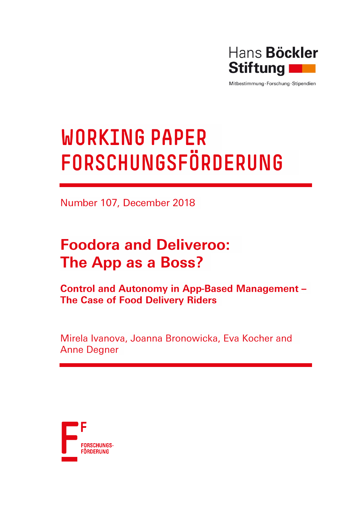

Mitbestimmung · Forschung · Stipendien

# **WORKING PAPER** FORSCHUNGSFÖRDERUNG

Number 107, December 2018

# **Foodora and Deliveroo:** The App as a Boss?

**Control and Autonomy in App-Based Management -The Case of Food Delivery Riders** 

Mirela Ivanova, Joanna Bronowicka, Eva Kocher and **Anne Degner** 

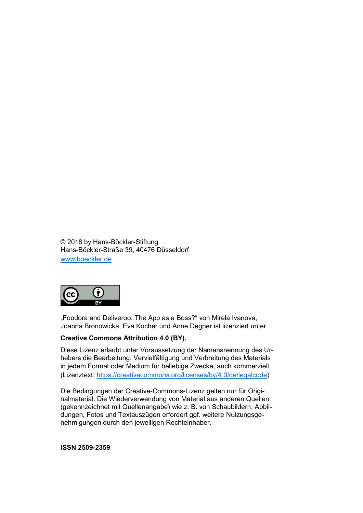© 2018 by Hans-Böckler-Stiftung Hans-Böckler-Straße 39, 40476 Düsseldorf [www.boeckler.de](http://www.boeckler.de/)



"Foodora and Deliveroo: The App as a Boss?" von Mirela Ivanova, Joanna Bronowicka, Eva Kocher und Anne Degner ist lizenziert unter

#### **Creative Commons Attribution 4.0 (BY).**

Diese Lizenz erlaubt unter Voraussetzung der Namensnennung des Urhebers die Bearbeitung, Vervielfältigung und Verbreitung des Materials in jedem Format oder Medium für beliebige Zwecke, auch kommerziell. (Lizenztext: [https://creativecommons.org/licenses/by/4.0/de/legalcode\)](https://creativecommons.org/licenses/by/4.0/de/legalcode)

Die Bedingungen der Creative-Commons-Lizenz gelten nur für Originalmaterial. Die Wiederverwendung von Material aus anderen Quellen (gekennzeichnet mit Quellenangabe) wie z. B. von Schaubildern, Abbildungen, Fotos und Textauszügen erfordert ggf. weitere Nutzungsgenehmigungen durch den jeweiligen Rechteinhaber.

**ISSN 2509-2359**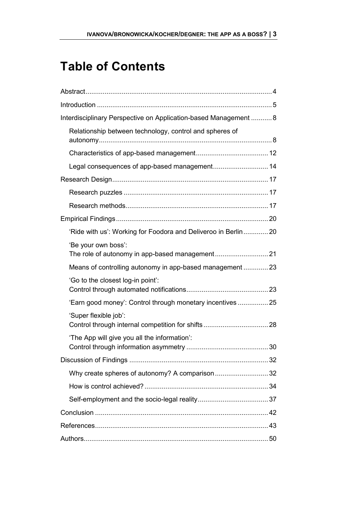# **Table of Contents**

| Interdisciplinary Perspective on Application-based Management  8 |  |
|------------------------------------------------------------------|--|
| Relationship between technology, control and spheres of          |  |
|                                                                  |  |
| Legal consequences of app-based management 14                    |  |
|                                                                  |  |
|                                                                  |  |
|                                                                  |  |
|                                                                  |  |
| 'Ride with us': Working for Foodora and Deliveroo in Berlin20    |  |
| 'Be your own boss':                                              |  |
| Means of controlling autonomy in app-based management 23         |  |
| 'Go to the closest log-in point':                                |  |
| 'Earn good money': Control through monetary incentives  25       |  |
| 'Super flexible job':                                            |  |
| 'The App will give you all the information':                     |  |
|                                                                  |  |
| Why create spheres of autonomy? A comparison 32                  |  |
|                                                                  |  |
|                                                                  |  |
|                                                                  |  |
|                                                                  |  |
|                                                                  |  |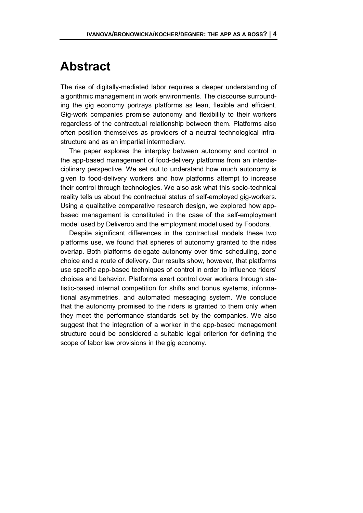### <span id="page-3-0"></span>**Abstract**

The rise of digitally-mediated labor requires a deeper understanding of algorithmic management in work environments. The discourse surrounding the gig economy portrays platforms as lean, flexible and efficient. Gig-work companies promise autonomy and flexibility to their workers regardless of the contractual relationship between them. Platforms also often position themselves as providers of a neutral technological infrastructure and as an impartial intermediary.

The paper explores the interplay between autonomy and control in the app-based management of food-delivery platforms from an interdisciplinary perspective. We set out to understand how much autonomy is given to food-delivery workers and how platforms attempt to increase their control through technologies. We also ask what this socio-technical reality tells us about the contractual status of self-employed gig-workers. Using a qualitative comparative research design, we explored how appbased management is constituted in the case of the self-employment model used by Deliveroo and the employment model used by Foodora.

Despite significant differences in the contractual models these two platforms use, we found that spheres of autonomy granted to the rides overlap. Both platforms delegate autonomy over time scheduling, zone choice and a route of delivery. Our results show, however, that platforms use specific app-based techniques of control in order to influence riders' choices and behavior. Platforms exert control over workers through statistic-based internal competition for shifts and bonus systems, informational asymmetries, and automated messaging system. We conclude that the autonomy promised to the riders is granted to them only when they meet the performance standards set by the companies. We also suggest that the integration of a worker in the app-based management structure could be considered a suitable legal criterion for defining the scope of labor law provisions in the gig economy.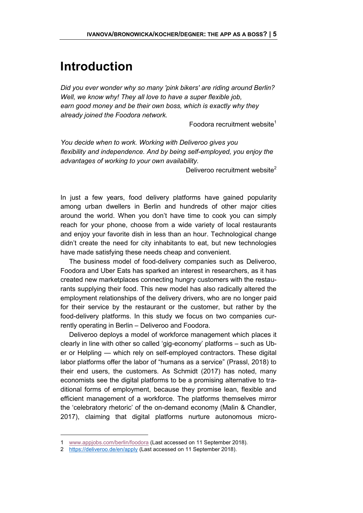# <span id="page-4-0"></span>**Introduction**

*Did you ever wonder why so many 'pink bikers' are riding around Berlin? Well, we know why! They all love to have a super flexible job, earn good money and be their own boss, which is exactly why they already joined the Foodora network.*

Foodora recruitment website<sup>1</sup>

*You decide when to work. Working with Deliveroo gives you flexibility and independence. And by being self-employed, you enjoy the advantages of working to your own availability.*

Deliveroo recruitment website<sup>2</sup>

In just a few years, food delivery platforms have gained popularity among urban dwellers in Berlin and hundreds of other major cities around the world. When you don't have time to cook you can simply reach for your phone, choose from a wide variety of local restaurants and enjoy your favorite dish in less than an hour. Technological change didn't create the need for city inhabitants to eat, but new technologies have made satisfying these needs cheap and convenient.

The business model of food-delivery companies such as Deliveroo, Foodora and Uber Eats has sparked an interest in researchers, as it has created new marketplaces connecting hungry customers with the restaurants supplying their food. This new model has also radically altered the employment relationships of the delivery drivers, who are no longer paid for their service by the restaurant or the customer, but rather by the food-delivery platforms. In this study we focus on two companies currently operating in Berlin – Deliveroo and Foodora.

Deliveroo deploys a model of workforce management which places it clearly in line with other so called 'gig-economy' platforms – such as Uber or Helpling — which rely on self-employed contractors. These digital labor platforms offer the labor of "humans as a service" (Prassl, 2018) to their end users, the customers. As Schmidt (2017) has noted, many economists see the digital platforms to be a promising alternative to traditional forms of employment, because they promise lean, flexible and efficient management of a workforce. The platforms themselves mirror the 'celebratory rhetoric' of the on-demand economy (Malin & Chandler, 2017), claiming that digital platforms nurture autonomous micro-

 $\overline{a}$ 

<sup>1</sup> [www.appjobs.com/berlin/foodora](http://www.appjobs.com/berlin/foodora) (Last accessed on 11 September 2018).

<sup>2</sup> <https://deliveroo.de/en/apply> (Last accessed on 11 September 2018).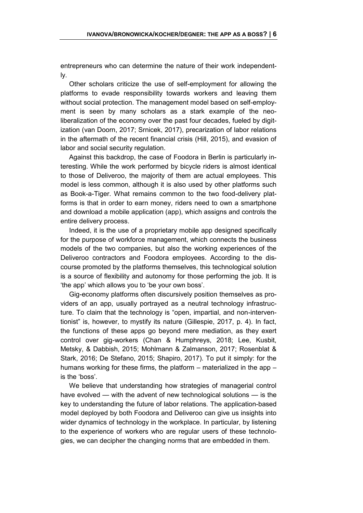entrepreneurs who can determine the nature of their work independently.

Other scholars criticize the use of self-employment for allowing the platforms to evade responsibility towards workers and leaving them without social protection. The management model based on self-employment is seen by many scholars as a stark example of the neoliberalization of the economy over the past four decades, fueled by digitization (van Doorn, 2017; Srnicek, 2017), precarization of labor relations in the aftermath of the recent financial crisis (Hill, 2015), and evasion of labor and social security regulation.

Against this backdrop, the case of Foodora in Berlin is particularly interesting. While the work performed by bicycle riders is almost identical to those of Deliveroo, the majority of them are actual employees. This model is less common, although it is also used by other platforms such as Book-a-Tiger. What remains common to the two food-delivery platforms is that in order to earn money, riders need to own a smartphone and download a mobile application (app), which assigns and controls the entire delivery process.

Indeed, it is the use of a proprietary mobile app designed specifically for the purpose of workforce management, which connects the business models of the two companies, but also the working experiences of the Deliveroo contractors and Foodora employees. According to the discourse promoted by the platforms themselves, this technological solution is a source of flexibility and autonomy for those performing the job. It is 'the app' which allows you to 'be your own boss'.

Gig-economy platforms often discursively position themselves as providers of an app, usually portrayed as a neutral technology infrastructure. To claim that the technology is "open, impartial, and non-interventionist" is, however, to mystify its nature (Gillespie, 2017, p. 4). In fact, the functions of these apps go beyond mere mediation, as they exert control over gig-workers (Chan & Humphreys, 2018; Lee, Kusbit, Metsky, & Dabbish, 2015; Mohlmann & Zalmanson, 2017; Rosenblat & Stark, 2016; De Stefano, 2015; Shapiro, 2017). To put it simply: for the humans working for these firms, the platform – materialized in the app – is the 'boss'.

We believe that understanding how strategies of managerial control have evolved — with the advent of new technological solutions — is the key to understanding the future of labor relations. The application-based model deployed by both Foodora and Deliveroo can give us insights into wider dynamics of technology in the workplace. In particular, by listening to the experience of workers who are regular users of these technologies, we can decipher the changing norms that are embedded in them.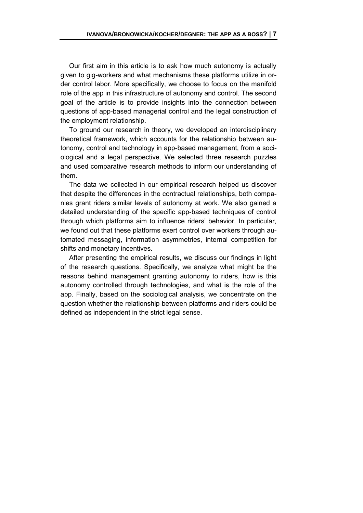Our first aim in this article is to ask how much autonomy is actually given to gig-workers and what mechanisms these platforms utilize in order control labor. More specifically, we choose to focus on the manifold role of the app in this infrastructure of autonomy and control. The second goal of the article is to provide insights into the connection between questions of app-based managerial control and the legal construction of the employment relationship.

To ground our research in theory, we developed an interdisciplinary theoretical framework, which accounts for the relationship between autonomy, control and technology in app-based management, from a sociological and a legal perspective. We selected three research puzzles and used comparative research methods to inform our understanding of them.

The data we collected in our empirical research helped us discover that despite the differences in the contractual relationships, both companies grant riders similar levels of autonomy at work. We also gained a detailed understanding of the specific app-based techniques of control through which platforms aim to influence riders' behavior. In particular, we found out that these platforms exert control over workers through automated messaging, information asymmetries, internal competition for shifts and monetary incentives.

After presenting the empirical results, we discuss our findings in light of the research questions. Specifically, we analyze what might be the reasons behind management granting autonomy to riders, how is this autonomy controlled through technologies, and what is the role of the app. Finally, based on the sociological analysis, we concentrate on the question whether the relationship between platforms and riders could be defined as independent in the strict legal sense.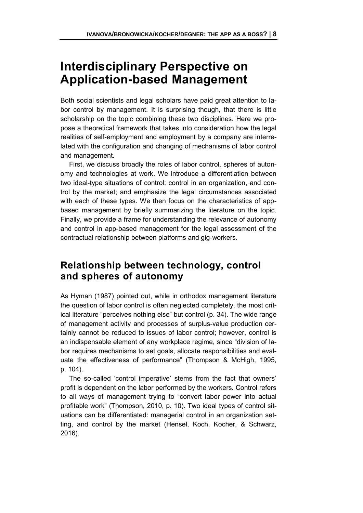### <span id="page-7-0"></span>**Interdisciplinary Perspective on Application-based Management**

Both social scientists and legal scholars have paid great attention to labor control by management. It is surprising though, that there is little scholarship on the topic combining these two disciplines. Here we propose a theoretical framework that takes into consideration how the legal realities of self-employment and employment by a company are interrelated with the configuration and changing of mechanisms of labor control and management.

First, we discuss broadly the roles of labor control, spheres of autonomy and technologies at work. We introduce a differentiation between two ideal-type situations of control: control in an organization, and control by the market; and emphasize the legal circumstances associated with each of these types. We then focus on the characteristics of appbased management by briefly summarizing the literature on the topic. Finally, we provide a frame for understanding the relevance of autonomy and control in app-based management for the legal assessment of the contractual relationship between platforms and gig-workers.

#### <span id="page-7-1"></span>**Relationship between technology, control and spheres of autonomy**

As Hyman (1987) pointed out, while in orthodox management literature the question of labor control is often neglected completely, the most critical literature "perceives nothing else" but control (p. 34). The wide range of management activity and processes of surplus-value production certainly cannot be reduced to issues of labor control; however, control is an indispensable element of any workplace regime, since "division of labor requires mechanisms to set goals, allocate responsibilities and evaluate the effectiveness of performance" (Thompson & McHigh, 1995, p. 104).

The so-called 'control imperative' stems from the fact that owners' profit is dependent on the labor performed by the workers. Control refers to all ways of management trying to "convert labor power into actual profitable work" (Thompson, 2010, p. 10). Two ideal types of control situations can be differentiated: managerial control in an organization setting, and control by the market (Hensel, Koch, Kocher, & Schwarz, 2016).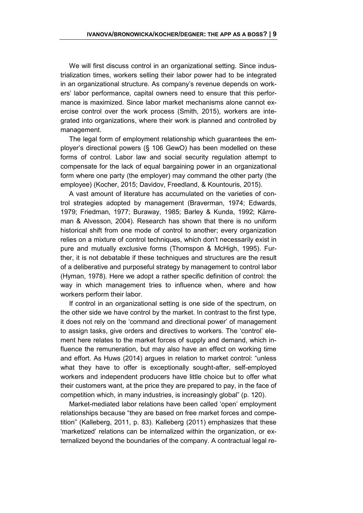We will first discuss control in an organizational setting. Since industrialization times, workers selling their labor power had to be integrated in an organizational structure. As company's revenue depends on workers' labor performance, capital owners need to ensure that this performance is maximized. Since labor market mechanisms alone cannot exercise control over the work process (Smith, 2015), workers are integrated into organizations, where their work is planned and controlled by management.

The legal form of employment relationship which guarantees the employer's directional powers (§ 106 GewO) has been modelled on these forms of control. Labor law and social security regulation attempt to compensate for the lack of equal bargaining power in an organizational form where one party (the employer) may command the other party (the employee) (Kocher, 2015; Davidov, Freedland, & Kountouris, 2015).

A vast amount of literature has accumulated on the varieties of control strategies adopted by management (Braverman, 1974; Edwards, 1979; Friedman, 1977; Buraway, 1985; Barley & Kunda, 1992; Kärreman & Alvesson, 2004). Research has shown that there is no uniform historical shift from one mode of control to another; every organization relies on a mixture of control techniques, which don't necessarily exist in pure and mutually exclusive forms (Thomspon & McHigh, 1995). Further, it is not debatable if these techniques and structures are the result of a deliberative and purposeful strategy by management to control labor (Hyman, 1978). Here we adopt a rather specific definition of control: the way in which management tries to influence when, where and how workers perform their labor.

If control in an organizational setting is one side of the spectrum, on the other side we have control by the market. In contrast to the first type, it does not rely on the 'command and directional power' of management to assign tasks, give orders and directives to workers. The 'control' element here relates to the market forces of supply and demand, which influence the remuneration, but may also have an effect on working time and effort. As Huws (2014) argues in relation to market control: "unless what they have to offer is exceptionally sought-after, self-employed workers and independent producers have little choice but to offer what their customers want, at the price they are prepared to pay, in the face of competition which, in many industries, is increasingly global" (p. 120).

Market-mediated labor relations have been called 'open' employment relationships because "they are based on free market forces and competition" (Kalleberg, 2011, p. 83). Kalleberg (2011) emphasizes that these 'marketized' relations can be internalized within the organization, or externalized beyond the boundaries of the company. A contractual legal re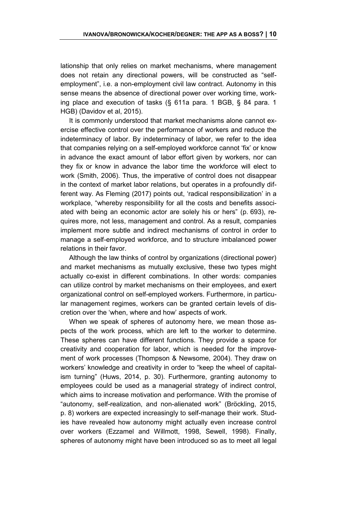lationship that only relies on market mechanisms, where management does not retain any directional powers, will be constructed as "selfemployment", i.e. a non-employment civil law contract. Autonomy in this sense means the absence of directional power over working time, working place and execution of tasks (§ 611a para. 1 BGB, § 84 para. 1 HGB) (Davidov et al, 2015).

It is commonly understood that market mechanisms alone cannot exercise effective control over the performance of workers and reduce the indeterminacy of labor. By indeterminacy of labor, we refer to the idea that companies relying on a self-employed workforce cannot 'fix' or know in advance the exact amount of labor effort given by workers, nor can they fix or know in advance the labor time the workforce will elect to work (Smith, 2006). Thus, the imperative of control does not disappear in the context of market labor relations, but operates in a profoundly different way. As Fleming (2017) points out, 'radical responsibilization' in a workplace, "whereby responsibility for all the costs and benefits associated with being an economic actor are solely his or hers" (p. 693), requires more, not less, management and control. As a result, companies implement more subtle and indirect mechanisms of control in order to manage a self-employed workforce, and to structure imbalanced power relations in their favor.

Although the law thinks of control by organizations (directional power) and market mechanisms as mutually exclusive, these two types might actually co-exist in different combinations. In other words: companies can utilize control by market mechanisms on their employees, and exert organizational control on self-employed workers. Furthermore, in particular management regimes, workers can be granted certain levels of discretion over the 'when, where and how' aspects of work.

When we speak of spheres of autonomy here, we mean those aspects of the work process, which are left to the worker to determine. These spheres can have different functions. They provide a space for creativity and cooperation for labor, which is needed for the improvement of work processes (Thompson & Newsome, 2004). They draw on workers' knowledge and creativity in order to "keep the wheel of capitalism turning" (Huws, 2014, p. 30). Furthermore, granting autonomy to employees could be used as a managerial strategy of indirect control, which aims to increase motivation and performance. With the promise of "autonomy, self-realization, and non-alienated work" (Bröckling, 2015, p. 8) workers are expected increasingly to self-manage their work. Studies have revealed how autonomy might actually even increase control over workers (Ezzamel and Willmott, 1998, Sewell, 1998). Finally, spheres of autonomy might have been introduced so as to meet all legal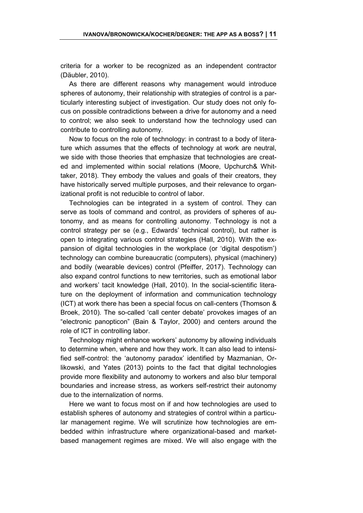criteria for a worker to be recognized as an independent contractor (Däubler, 2010).

As there are different reasons why management would introduce spheres of autonomy, their relationship with strategies of control is a particularly interesting subject of investigation. Our study does not only focus on possible contradictions between a drive for autonomy and a need to control; we also seek to understand how the technology used can contribute to controlling autonomy.

Now to focus on the role of technology: in contrast to a body of literature which assumes that the effects of technology at work are neutral, we side with those theories that emphasize that technologies are created and implemented within social relations (Moore, Upchurch& Whittaker, 2018). They embody the values and goals of their creators, they have historically served multiple purposes, and their relevance to organizational profit is not reducible to control of labor.

Technologies can be integrated in a system of control. They can serve as tools of command and control, as providers of spheres of autonomy, and as means for controlling autonomy. Technology is not a control strategy per se (e.g., Edwards' technical control), but rather is open to integrating various control strategies (Hall, 2010). With the expansion of digital technologies in the workplace (or 'digital despotism') technology can combine bureaucratic (computers), physical (machinery) and bodily (wearable devices) control (Pfeiffer, 2017). Technology can also expand control functions to new territories, such as emotional labor and workers' tacit knowledge (Hall, 2010). In the social-scientific literature on the deployment of information and communication technology (ICT) at work there has been a special focus on call-centers (Thomson & Broek, 2010). The so-called 'call center debate' provokes images of an "electronic panopticon" (Bain & Taylor, 2000) and centers around the role of ICT in controlling labor.

Technology might enhance workers' autonomy by allowing individuals to determine when, where and how they work. It can also lead to intensified self-control: the 'autonomy paradox' identified by Mazmanian, Orlikowski, and Yates (2013) points to the fact that digital technologies provide more flexibility and autonomy to workers and also blur temporal boundaries and increase stress, as workers self-restrict their autonomy due to the internalization of norms.

Here we want to focus most on if and how technologies are used to establish spheres of autonomy and strategies of control within a particular management regime. We will scrutinize how technologies are embedded within infrastructure where organizational-based and marketbased management regimes are mixed. We will also engage with the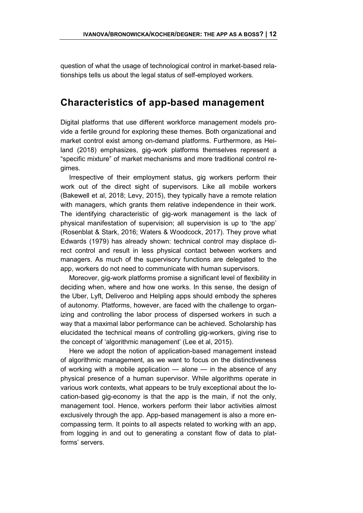question of what the usage of technological control in market-based relationships tells us about the legal status of self-employed workers.

#### <span id="page-11-0"></span>**Characteristics of app-based management**

Digital platforms that use different workforce management models provide a fertile ground for exploring these themes. Both organizational and market control exist among on-demand platforms. Furthermore, as Heiland (2018) emphasizes, gig-work platforms themselves represent a "specific mixture" of market mechanisms and more traditional control regimes.

Irrespective of their employment status, gig workers perform their work out of the direct sight of supervisors. Like all mobile workers (Bakewell et al, 2018; Levy, 2015), they typically have a remote relation with managers, which grants them relative independence in their work. The identifying characteristic of gig-work management is the lack of physical manifestation of supervision; all supervision is up to 'the app' (Rosenblat & Stark, 2016; Waters & Woodcock, 2017). They prove what Edwards (1979) has already shown: technical control may displace direct control and result in less physical contact between workers and managers. As much of the supervisory functions are delegated to the app, workers do not need to communicate with human supervisors.

Moreover, gig-work platforms promise a significant level of flexibility in deciding when, where and how one works. In this sense, the design of the Uber, Lyft, Deliveroo and Helpling apps should embody the spheres of autonomy. Platforms, however, are faced with the challenge to organizing and controlling the labor process of dispersed workers in such a way that a maximal labor performance can be achieved. Scholarship has elucidated the technical means of controlling gig-workers, giving rise to the concept of 'algorithmic management' (Lee et al, 2015).

Here we adopt the notion of application-based management instead of algorithmic management, as we want to focus on the distinctiveness of working with a mobile application — alone — in the absence of any physical presence of a human supervisor. While algorithms operate in various work contexts, what appears to be truly exceptional about the location-based gig-economy is that the app is the main, if not the only, management tool. Hence, workers perform their labor activities almost exclusively through the app. App-based management is also a more encompassing term. It points to all aspects related to working with an app, from logging in and out to generating a constant flow of data to platforms' servers.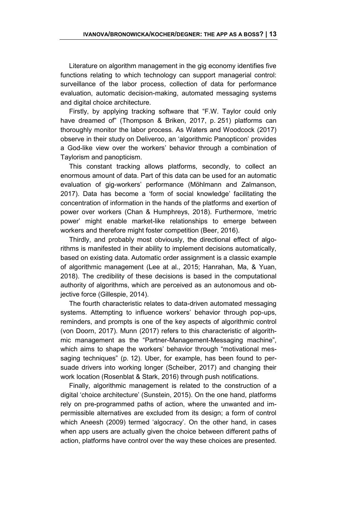Literature on algorithm management in the gig economy identifies five functions relating to which technology can support managerial control: surveillance of the labor process, collection of data for performance evaluation, automatic decision-making, automated messaging systems and digital choice architecture.

Firstly, by applying tracking software that "F.W. Taylor could only have dreamed of" (Thompson & Briken, 2017, p. 251) platforms can thoroughly monitor the labor process. As Waters and Woodcock (2017) observe in their study on Deliveroo, an 'algorithmic Panopticon' provides a God-like view over the workers' behavior through a combination of Taylorism and panopticism.

This constant tracking allows platforms, secondly, to collect an enormous amount of data. Part of this data can be used for an automatic evaluation of gig-workers' performance (Möhlmann and Zalmanson, 2017). Data has become a 'form of social knowledge' facilitating the concentration of information in the hands of the platforms and exertion of power over workers (Chan & Humphreys, 2018). Furthermore, 'metric power' might enable market-like relationships to emerge between workers and therefore might foster competition (Beer, 2016).

Thirdly, and probably most obviously, the directional effect of algorithms is manifested in their ability to implement decisions automatically, based on existing data. Automatic order assignment is a classic example of algorithmic management (Lee at al., 2015; Hanrahan, Ma, & Yuan, 2018). The credibility of these decisions is based in the computational authority of algorithms, which are perceived as an autonomous and objective force (Gillespie, 2014).

The fourth characteristic relates to data-driven automated messaging systems. Attempting to influence workers' behavior through pop-ups, reminders, and prompts is one of the key aspects of algorithmic control (von Doorn, 2017). Munn (2017) refers to this characteristic of algorithmic management as the "Partner-Management-Messaging machine", which aims to shape the workers' behavior through "motivational messaging techniques" (p. 12). Uber, for example, has been found to persuade drivers into working longer (Scheiber, 2017) and changing their work location (Rosenblat & Stark, 2016) through push notifications.

Finally, algorithmic management is related to the construction of a digital 'choice architecture' (Sunstein, 2015). On the one hand, platforms rely on pre-programmed paths of action, where the unwanted and impermissible alternatives are excluded from its design; a form of control which Aneesh (2009) termed 'algocracy'. On the other hand, in cases when app users are actually given the choice between different paths of action, platforms have control over the way these choices are presented.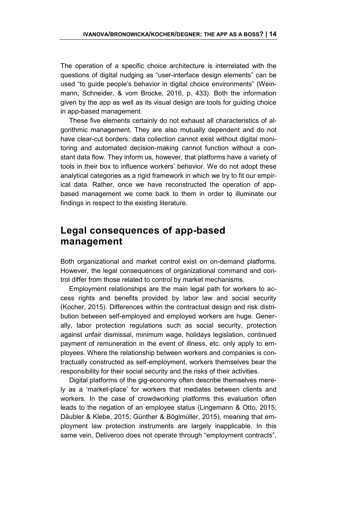The operation of a specific choice architecture is interrelated with the questions of digital nudging as "user-interface design elements" can be used "to guide people's behavior in digital choice environments" (Weinmann, Schneider, & vom Brocke, 2016, p. 433). Both the information given by the app as well as its visual design are tools for guiding choice in app-based management.

These five elements certainly do not exhaust all characteristics of algorithmic management. They are also mutually dependent and do not have clear-cut borders: data collection cannot exist without digital monitoring and automated decision-making cannot function without a constant data flow. They inform us, however, that platforms have a variety of tools in their box to influence workers' behavior. We do not adopt these analytical categories as a rigid framework in which we try to fit our empirical data. Rather, once we have reconstructed the operation of appbased management we come back to them in order to illuminate our findings in respect to the existing literature.

#### <span id="page-13-0"></span>**Legal consequences of app-based management**

Both organizational and market control exist on on-demand platforms. However, the legal consequences of organizational command and control differ from those related to control by market mechanisms.

Employment relationships are the main legal path for workers to access rights and benefits provided by labor law and social security (Kocher, 2015). Differences within the contractual design and risk distribution between self-employed and employed workers are huge. Generally, labor protection regulations such as social security, protection against unfair dismissal, minimum wage, holidays legislation, continued payment of remuneration in the event of illness, etc. only apply to employees. Where the relationship between workers and companies is contractually constructed as self-employment, workers themselves bear the responsibility for their social security and the risks of their activities.

Digital platforms of the gig-economy often describe themselves merely as a 'market-place' for workers that mediates between clients and workers. In the case of crowdworking platforms this evaluation often leads to the negation of an employee status (Lingemann & Otto, 2015; Däubler & Klebe, 2015; Günther & Böglmüller, 2015), meaning that employment law protection instruments are largely inapplicable. In this same vein, Deliveroo does not operate through "employment contracts",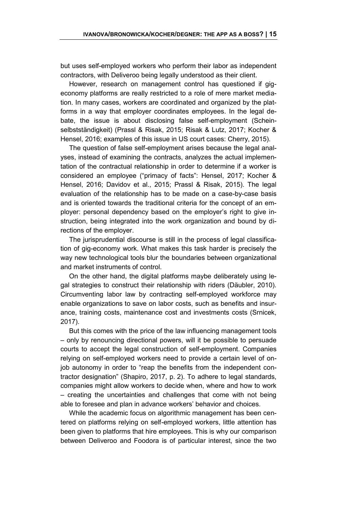but uses self-employed workers who perform their labor as independent contractors, with Deliveroo being legally understood as their client.

However, research on management control has questioned if gigeconomy platforms are really restricted to a role of mere market mediation. In many cases, workers are coordinated and organized by the platforms in a way that employer coordinates employees. In the legal debate, the issue is about disclosing false self-employment (Scheinselbstständigkeit) (Prassl & Risak, 2015; Risak & Lutz, 2017; Kocher & Hensel, 2016; examples of this issue in US court cases: Cherry, 2015).

The question of false self-employment arises because the legal analyses, instead of examining the contracts, analyzes the actual implementation of the contractual relationship in order to determine if a worker is considered an employee ("primacy of facts": Hensel, 2017; Kocher & Hensel, 2016; Davidov et al., 2015; Prassl & Risak, 2015). The legal evaluation of the relationship has to be made on a case-by-case basis and is oriented towards the traditional criteria for the concept of an employer: personal dependency based on the employer's right to give instruction, being integrated into the work organization and bound by directions of the employer.

The jurisprudential discourse is still in the process of legal classification of gig-economy work. What makes this task harder is precisely the way new technological tools blur the boundaries between organizational and market instruments of control.

On the other hand, the digital platforms maybe deliberately using legal strategies to construct their relationship with riders (Däubler, 2010). Circumventing labor law by contracting self-employed workforce may enable organizations to save on labor costs, such as benefits and insurance, training costs, maintenance cost and investments costs (Srnicek, 2017).

But this comes with the price of the law influencing management tools – only by renouncing directional powers, will it be possible to persuade courts to accept the legal construction of self-employment. Companies relying on self-employed workers need to provide a certain level of onjob autonomy in order to "reap the benefits from the independent contractor designation" (Shapiro, 2017, p. 2). To adhere to legal standards, companies might allow workers to decide when, where and how to work – creating the uncertainties and challenges that come with not being able to foresee and plan in advance workers' behavior and choices.

While the academic focus on algorithmic management has been centered on platforms relying on self-employed workers, little attention has been given to platforms that hire employees. This is why our comparison between Deliveroo and Foodora is of particular interest, since the two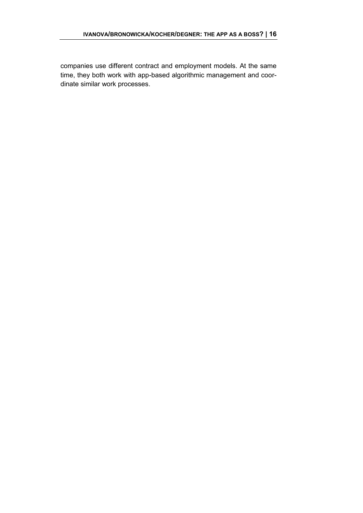companies use different contract and employment models. At the same time, they both work with app-based algorithmic management and coordinate similar work processes.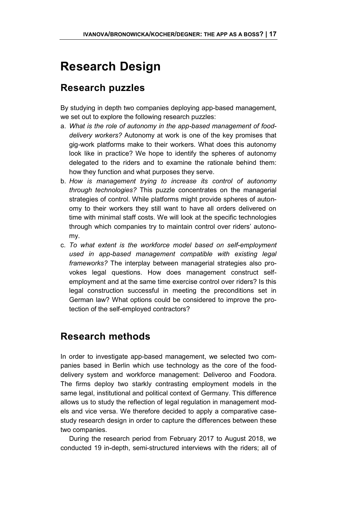# <span id="page-16-0"></span>**Research Design**

#### <span id="page-16-1"></span>**Research puzzles**

By studying in depth two companies deploying app-based management, we set out to explore the following research puzzles:

- a. *What is the role of autonomy in the app-based management of fooddelivery workers?* Autonomy at work is one of the key promises that gig-work platforms make to their workers. What does this autonomy look like in practice? We hope to identify the spheres of autonomy delegated to the riders and to examine the rationale behind them: how they function and what purposes they serve.
- b. *How is management trying to increase its control of autonomy through technologies?* This puzzle concentrates on the managerial strategies of control. While platforms might provide spheres of autonomy to their workers they still want to have all orders delivered on time with minimal staff costs. We will look at the specific technologies through which companies try to maintain control over riders' autonomy.
- c. *To what extent is the workforce model based on self-employment used in app-based management compatible with existing legal frameworks?* The interplay between managerial strategies also provokes legal questions. How does management construct selfemployment and at the same time exercise control over riders? Is this legal construction successful in meeting the preconditions set in German law? What options could be considered to improve the protection of the self-employed contractors?

#### <span id="page-16-2"></span>**Research methods**

In order to investigate app-based management, we selected two companies based in Berlin which use technology as the core of the fooddelivery system and workforce management: Deliveroo and Foodora. The firms deploy two starkly contrasting employment models in the same legal, institutional and political context of Germany. This difference allows us to study the reflection of legal regulation in management models and vice versa. We therefore decided to apply a comparative casestudy research design in order to capture the differences between these two companies.

During the research period from February 2017 to August 2018, we conducted 19 in-depth, semi-structured interviews with the riders; all of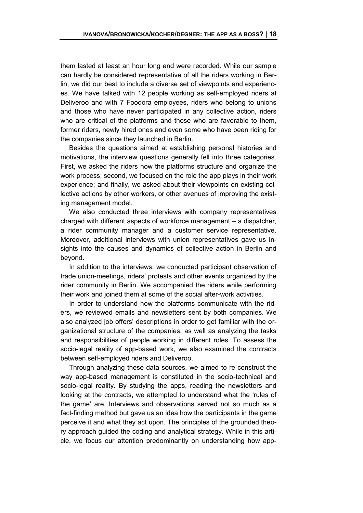them lasted at least an hour long and were recorded. While our sample can hardly be considered representative of all the riders working in Berlin, we did our best to include a diverse set of viewpoints and experiences. We have talked with 12 people working as self-employed riders at Deliveroo and with 7 Foodora employees, riders who belong to unions and those who have never participated in any collective action, riders who are critical of the platforms and those who are favorable to them. former riders, newly hired ones and even some who have been riding for the companies since they launched in Berlin.

Besides the questions aimed at establishing personal histories and motivations, the interview questions generally fell into three categories. First, we asked the riders how the platforms structure and organize the work process; second, we focused on the role the app plays in their work experience; and finally, we asked about their viewpoints on existing collective actions by other workers, or other avenues of improving the existing management model.

We also conducted three interviews with company representatives charged with different aspects of workforce management – a dispatcher, a rider community manager and a customer service representative. Moreover, additional interviews with union representatives gave us insights into the causes and dynamics of collective action in Berlin and beyond.

In addition to the interviews, we conducted participant observation of trade union-meetings, riders' protests and other events organized by the rider community in Berlin. We accompanied the riders while performing their work and joined them at some of the social after-work activities.

In order to understand how the platforms communicate with the riders, we reviewed emails and newsletters sent by both companies. We also analyzed job offers' descriptions in order to get familiar with the organizational structure of the companies, as well as analyzing the tasks and responsibilities of people working in different roles. To assess the socio-legal reality of app-based work, we also examined the contracts between self-employed riders and Deliveroo.

Through analyzing these data sources, we aimed to re-construct the way app-based management is constituted in the socio-technical and socio-legal reality. By studying the apps, reading the newsletters and looking at the contracts, we attempted to understand what the 'rules of the game' are. Interviews and observations served not so much as a fact-finding method but gave us an idea how the participants in the game perceive it and what they act upon. The principles of the grounded theory approach guided the coding and analytical strategy. While in this article, we focus our attention predominantly on understanding how app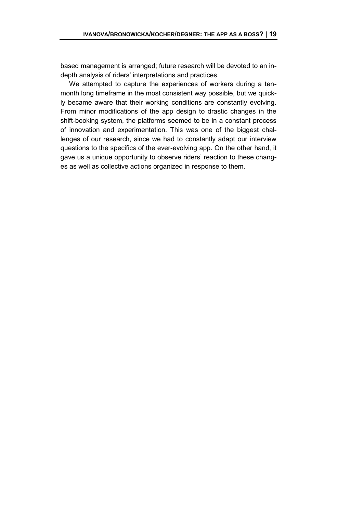based management is arranged; future research will be devoted to an indepth analysis of riders' interpretations and practices.

We attempted to capture the experiences of workers during a tenmonth long timeframe in the most consistent way possible, but we quickly became aware that their working conditions are constantly evolving. From minor modifications of the app design to drastic changes in the shift-booking system, the platforms seemed to be in a constant process of innovation and experimentation. This was one of the biggest challenges of our research, since we had to constantly adapt our interview questions to the specifics of the ever-evolving app. On the other hand, it gave us a unique opportunity to observe riders' reaction to these changes as well as collective actions organized in response to them.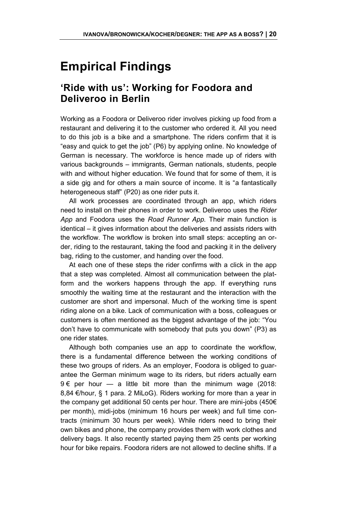# <span id="page-19-0"></span>**Empirical Findings**

#### <span id="page-19-1"></span>**'Ride with us': Working for Foodora and Deliveroo in Berlin**

Working as a Foodora or Deliveroo rider involves picking up food from a restaurant and delivering it to the customer who ordered it. All you need to do this job is a bike and a smartphone. The riders confirm that it is "easy and quick to get the job" (P6) by applying online. No knowledge of German is necessary. The workforce is hence made up of riders with various backgrounds – immigrants, German nationals, students, people with and without higher education. We found that for some of them, it is a side gig and for others a main source of income. It is "a fantastically heterogeneous staff" (P20) as one rider puts it.

All work processes are coordinated through an app, which riders need to install on their phones in order to work. Deliveroo uses the *Rider App* and Foodora uses the *Road Runner App.* Their main function is identical – it gives information about the deliveries and assists riders with the workflow. The workflow is broken into small steps: accepting an order, riding to the restaurant, taking the food and packing it in the delivery bag, riding to the customer, and handing over the food.

At each one of these steps the rider confirms with a click in the app that a step was completed. Almost all communication between the platform and the workers happens through the app. If everything runs smoothly the waiting time at the restaurant and the interaction with the customer are short and impersonal. Much of the working time is spent riding alone on a bike. Lack of communication with a boss, colleagues or customers is often mentioned as the biggest advantage of the job: "You don't have to communicate with somebody that puts you down" (P3) as one rider states.

Although both companies use an app to coordinate the workflow, there is a fundamental difference between the working conditions of these two groups of riders. As an employer, Foodora is obliged to guarantee the German minimum wage to its riders, but riders actually earn  $9 \in \text{per hour} \longrightarrow a$  little bit more than the minimum wage (2018: 8,84 €/hour, § 1 para. 2 MiLoG). Riders working for more than a year in the company get additional 50 cents per hour. There are mini-jobs (450€ per month), midi-jobs (minimum 16 hours per week) and full time contracts (minimum 30 hours per week). While riders need to bring their own bikes and phone, the company provides them with work clothes and delivery bags. It also recently started paying them 25 cents per working hour for bike repairs. Foodora riders are not allowed to decline shifts. If a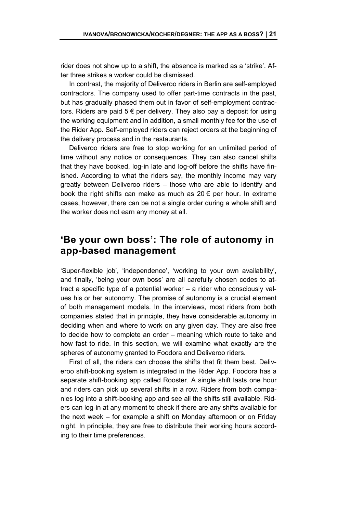rider does not show up to a shift, the absence is marked as a 'strike'. After three strikes a worker could be dismissed.

In contrast, the majority of Deliveroo riders in Berlin are self-employed contractors. The company used to offer part-time contracts in the past, but has gradually phased them out in favor of self-employment contractors. Riders are paid  $5 \notin$  per delivery. They also pay a deposit for using the working equipment and in addition, a small monthly fee for the use of the Rider App. Self-employed riders can reject orders at the beginning of the delivery process and in the restaurants.

Deliveroo riders are free to stop working for an unlimited period of time without any notice or consequences. They can also cancel shifts that they have booked, log-in late and log-off before the shifts have finished. According to what the riders say, the monthly income may vary greatly between Deliveroo riders – those who are able to identify and book the right shifts can make as much as  $20 \in \text{per hour}$ . In extreme cases, however, there can be not a single order during a whole shift and the worker does not earn any money at all.

#### <span id="page-20-0"></span>**'Be your own boss': The role of autonomy in app-based management**

'Super-flexible job', 'independence', 'working to your own availability', and finally, 'being your own boss' are all carefully chosen codes to attract a specific type of a potential worker – a rider who consciously values his or her autonomy. The promise of autonomy is a crucial element of both management models. In the interviews, most riders from both companies stated that in principle, they have considerable autonomy in deciding when and where to work on any given day. They are also free to decide how to complete an order – meaning which route to take and how fast to ride. In this section, we will examine what exactly are the spheres of autonomy granted to Foodora and Deliveroo riders.

First of all, the riders can choose the shifts that fit them best. Deliveroo shift-booking system is integrated in the Rider App. Foodora has a separate shift-booking app called Rooster. A single shift lasts one hour and riders can pick up several shifts in a row. Riders from both companies log into a shift-booking app and see all the shifts still available. Riders can log-in at any moment to check if there are any shifts available for the next week – for example a shift on Monday afternoon or on Friday night. In principle, they are free to distribute their working hours according to their time preferences.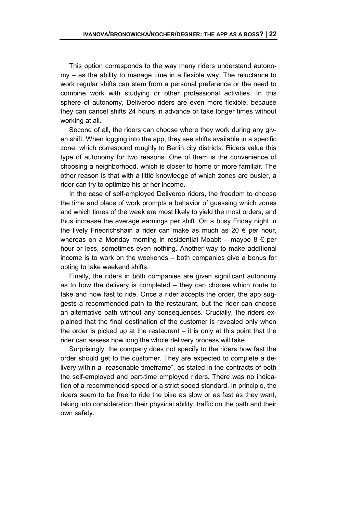This option corresponds to the way many riders understand autonomy – as the ability to manage time in a flexible way. The reluctance to work regular shifts can stem from a personal preference or the need to combine work with studying or other professional activities. In this sphere of autonomy, Deliveroo riders are even more flexible, because they can cancel shifts 24 hours in advance or take longer times without working at all.

Second of all, the riders can choose where they work during any given shift. When logging into the app, they see shifts available in a specific zone, which correspond roughly to Berlin city districts. Riders value this type of autonomy for two reasons. One of them is the convenience of choosing a neighborhood, which is closer to home or more familiar. The other reason is that with a little knowledge of which zones are busier, a rider can try to optimize his or her income.

In the case of self-employed Deliveroo riders, the freedom to choose the time and place of work prompts a behavior of guessing which zones and which times of the week are most likely to yield the most orders, and thus increase the average earnings per shift. On a busy Friday night in the lively Friedrichshain a rider can make as much as 20  $\epsilon$  per hour. whereas on a Monday morning in residential Moabit – maybe  $8 \notin$  per hour or less, sometimes even nothing. Another way to make additional income is to work on the weekends – both companies give a bonus for opting to take weekend shifts.

Finally, the riders in both companies are given significant autonomy as to how the delivery is completed – they can choose which route to take and how fast to ride. Once a rider accepts the order, the app suggests a recommended path to the restaurant, but the rider can choose an alternative path without any consequences. Crucially, the riders explained that the final destination of the customer is revealed only when the order is picked up at the restaurant – it is only at this point that the rider can assess how long the whole delivery process will take.

Surprisingly, the company does not specify to the riders how fast the order should get to the customer. They are expected to complete a delivery within a "reasonable timeframe", as stated in the contracts of both the self-employed and part-time employed riders. There was no indication of a recommended speed or a strict speed standard. In principle, the riders seem to be free to ride the bike as slow or as fast as they want, taking into consideration their physical ability, traffic on the path and their own safety.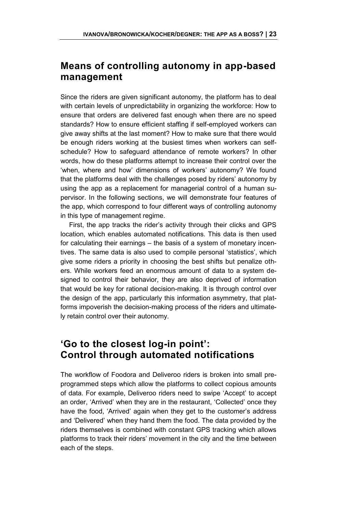#### <span id="page-22-0"></span>**Means of controlling autonomy in app-based management**

Since the riders are given significant autonomy, the platform has to deal with certain levels of unpredictability in organizing the workforce: How to ensure that orders are delivered fast enough when there are no speed standards? How to ensure efficient staffing if self-employed workers can give away shifts at the last moment? How to make sure that there would be enough riders working at the busiest times when workers can selfschedule? How to safeguard attendance of remote workers? In other words, how do these platforms attempt to increase their control over the 'when, where and how' dimensions of workers' autonomy? We found that the platforms deal with the challenges posed by riders' autonomy by using the app as a replacement for managerial control of a human supervisor. In the following sections, we will demonstrate four features of the app, which correspond to four different ways of controlling autonomy in this type of management regime.

First, the app tracks the rider's activity through their clicks and GPS location, which enables automated notifications. This data is then used for calculating their earnings – the basis of a system of monetary incentives. The same data is also used to compile personal 'statistics', which give some riders a priority in choosing the best shifts but penalize others. While workers feed an enormous amount of data to a system designed to control their behavior, they are also deprived of information that would be key for rational decision-making. It is through control over the design of the app, particularly this information asymmetry, that platforms impoverish the decision-making process of the riders and ultimately retain control over their autonomy.

#### <span id="page-22-1"></span>**'Go to the closest log-in point': Control through automated notifications**

The workflow of Foodora and Deliveroo riders is broken into small preprogrammed steps which allow the platforms to collect copious amounts of data. For example, Deliveroo riders need to swipe 'Accept' to accept an order, 'Arrived' when they are in the restaurant, 'Collected' once they have the food, 'Arrived' again when they get to the customer's address and 'Delivered' when they hand them the food. The data provided by the riders themselves is combined with constant GPS tracking which allows platforms to track their riders' movement in the city and the time between each of the steps.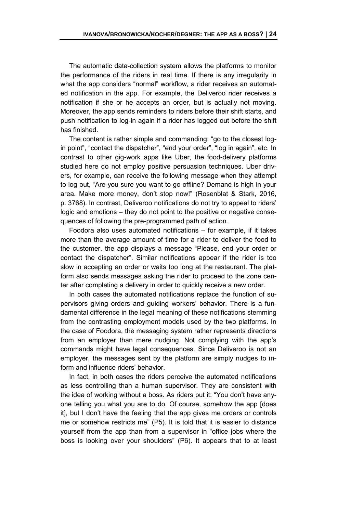The automatic data-collection system allows the platforms to monitor the performance of the riders in real time. If there is any irregularity in what the app considers "normal" workflow, a rider receives an automated notification in the app. For example, the Deliveroo rider receives a notification if she or he accepts an order, but is actually not moving. Moreover, the app sends reminders to riders before their shift starts, and push notification to log-in again if a rider has logged out before the shift has finished.

The content is rather simple and commanding: "go to the closest login point", "contact the dispatcher", "end your order", "log in again", etc. In contrast to other gig-work apps like Uber, the food-delivery platforms studied here do not employ positive persuasion techniques. Uber drivers, for example, can receive the following message when they attempt to log out, "Are you sure you want to go offline? Demand is high in your area. Make more money, don't stop now!" (Rosenblat & Stark, 2016, p. 3768). In contrast, Deliveroo notifications do not try to appeal to riders' logic and emotions – they do not point to the positive or negative consequences of following the pre-programmed path of action.

Foodora also uses automated notifications – for example, if it takes more than the average amount of time for a rider to deliver the food to the customer, the app displays a message "Please, end your order or contact the dispatcher". Similar notifications appear if the rider is too slow in accepting an order or waits too long at the restaurant. The platform also sends messages asking the rider to proceed to the zone center after completing a delivery in order to quickly receive a new order.

In both cases the automated notifications replace the function of supervisors giving orders and guiding workers' behavior. There is a fundamental difference in the legal meaning of these notifications stemming from the contrasting employment models used by the two platforms. In the case of Foodora, the messaging system rather represents directions from an employer than mere nudging. Not complying with the app's commands might have legal consequences. Since Deliveroo is not an employer, the messages sent by the platform are simply nudges to inform and influence riders' behavior.

In fact, in both cases the riders perceive the automated notifications as less controlling than a human supervisor. They are consistent with the idea of working without a boss. As riders put it: "You don't have anyone telling you what you are to do. Of course, somehow the app [does it], but I don't have the feeling that the app gives me orders or controls me or somehow restricts me" (P5). It is told that it is easier to distance yourself from the app than from a supervisor in "office jobs where the boss is looking over your shoulders" (P6). It appears that to at least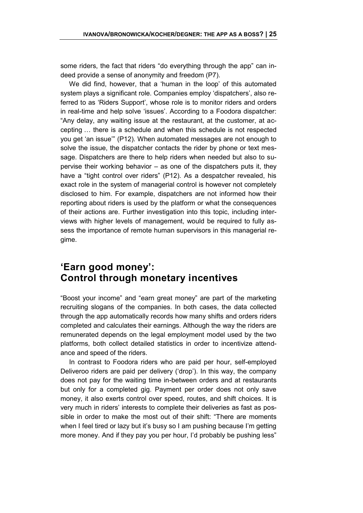some riders, the fact that riders "do everything through the app" can indeed provide a sense of anonymity and freedom (P7).

We did find, however, that a 'human in the loop' of this automated system plays a significant role. Companies employ 'dispatchers', also referred to as 'Riders Support', whose role is to monitor riders and orders in real-time and help solve 'issues'. According to a Foodora dispatcher: "Any delay, any waiting issue at the restaurant, at the customer, at accepting … there is a schedule and when this schedule is not respected you get 'an issue'" (P12). When automated messages are not enough to solve the issue, the dispatcher contacts the rider by phone or text message. Dispatchers are there to help riders when needed but also to supervise their working behavior – as one of the dispatchers puts it, they have a "tight control over riders" (P12). As a despatcher revealed, his exact role in the system of managerial control is however not completely disclosed to him. For example, dispatchers are not informed how their reporting about riders is used by the platform or what the consequences of their actions are. Further investigation into this topic, including interviews with higher levels of management, would be required to fully assess the importance of remote human supervisors in this managerial regime.

#### <span id="page-24-0"></span>**'Earn good money': Control through monetary incentives**

"Boost your income" and "earn great money" are part of the marketing recruiting slogans of the companies. In both cases, the data collected through the app automatically records how many shifts and orders riders completed and calculates their earnings. Although the way the riders are remunerated depends on the legal employment model used by the two platforms, both collect detailed statistics in order to incentivize attendance and speed of the riders.

In contrast to Foodora riders who are paid per hour, self-employed Deliveroo riders are paid per delivery ('drop'). In this way, the company does not pay for the waiting time in-between orders and at restaurants but only for a completed gig. Payment per order does not only save money, it also exerts control over speed, routes, and shift choices. It is very much in riders' interests to complete their deliveries as fast as possible in order to make the most out of their shift: "There are moments when I feel tired or lazy but it's busy so I am pushing because I'm getting more money. And if they pay you per hour, I'd probably be pushing less"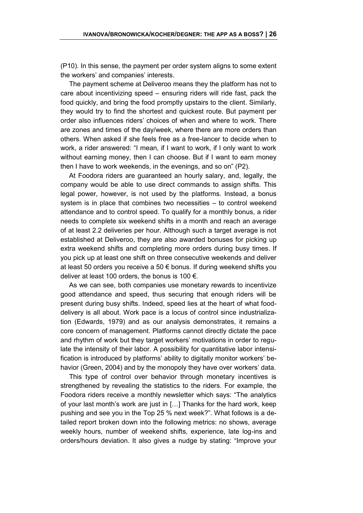(P10). In this sense, the payment per order system aligns to some extent the workers' and companies' interests.

The payment scheme at Deliveroo means they the platform has not to care about incentivizing speed – ensuring riders will ride fast, pack the food quickly, and bring the food promptly upstairs to the client. Similarly, they would try to find the shortest and quickest route. But payment per order also influences riders' choices of when and where to work. There are zones and times of the day/week, where there are more orders than others. When asked if she feels free as a free-lancer to decide when to work, a rider answered: "I mean, if I want to work, if I only want to work without earning money, then I can choose. But if I want to earn money then I have to work weekends, in the evenings, and so on" (P2).

At Foodora riders are guaranteed an hourly salary, and, legally, the company would be able to use direct commands to assign shifts. This legal power, however, is not used by the platforms. Instead, a bonus system is in place that combines two necessities – to control weekend attendance and to control speed. To qualify for a monthly bonus, a rider needs to complete six weekend shifts in a month and reach an average of at least 2.2 deliveries per hour. Although such a target average is not established at Deliveroo, they are also awarded bonuses for picking up extra weekend shifts and completing more orders during busy times. If you pick up at least one shift on three consecutive weekends and deliver at least 50 orders you receive a 50 € bonus. If during weekend shifts you deliver at least 100 orders, the bonus is 100  $\epsilon$ .

As we can see, both companies use monetary rewards to incentivize good attendance and speed, thus securing that enough riders will be present during busy shifts. Indeed, speed lies at the heart of what fooddelivery is all about. Work pace is a locus of control since industrialization (Edwards, 1979) and as our analysis demonstrates, it remains a core concern of management. Platforms cannot directly dictate the pace and rhythm of work but they target workers' motivations in order to regulate the intensity of their labor. A possibility for quantitative labor intensification is introduced by platforms' ability to digitally monitor workers' behavior (Green, 2004) and by the monopoly they have over workers' data.

This type of control over behavior through monetary incentives is strengthened by revealing the statistics to the riders. For example, the Foodora riders receive a monthly newsletter which says: "The analytics of your last month's work are just in […] Thanks for the hard work, keep pushing and see you in the Top 25 % next week?". What follows is a detailed report broken down into the following metrics: no shows, average weekly hours, number of weekend shifts, experience, late log-ins and orders/hours deviation. It also gives a nudge by stating: "Improve your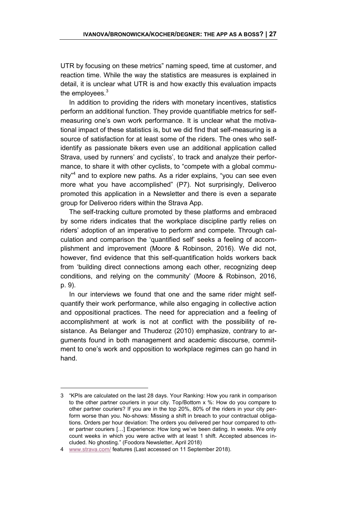UTR by focusing on these metrics" naming speed, time at customer, and reaction time. While the way the statistics are measures is explained in detail, it is unclear what UTR is and how exactly this evaluation impacts the employees. $3$ 

In addition to providing the riders with monetary incentives, statistics perform an additional function. They provide quantifiable metrics for selfmeasuring one's own work performance. It is unclear what the motivational impact of these statistics is, but we did find that self-measuring is a source of satisfaction for at least some of the riders. The ones who selfidentify as passionate bikers even use an additional application called Strava, used by runners' and cyclists', to track and analyze their performance, to share it with other cyclists, to "compete with a global community"<sup>4</sup> and to explore new paths. As a rider explains, "you can see even more what you have accomplished" (P7). Not surprisingly, Deliveroo promoted this application in a Newsletter and there is even a separate group for Deliveroo riders within the Strava App.

The self-tracking culture promoted by these platforms and embraced by some riders indicates that the workplace discipline partly relies on riders' adoption of an imperative to perform and compete. Through calculation and comparison the 'quantified self' seeks a feeling of accomplishment and improvement (Moore & Robinson, 2016). We did not, however, find evidence that this self-quantification holds workers back from 'building direct connections among each other, recognizing deep conditions, and relying on the community' (Moore & Robinson, 2016, p. 9).

In our interviews we found that one and the same rider might selfquantify their work performance, while also engaging in collective action and oppositional practices. The need for appreciation and a feeling of accomplishment at work is not at conflict with the possibility of resistance. As Belanger and Thuderoz (2010) emphasize, contrary to arguments found in both management and academic discourse, commitment to one's work and opposition to workplace regimes can go hand in hand.

 $\overline{a}$ 

<sup>3</sup> "KPIs are calculated on the last 28 days. Your Ranking: How you rank in comparison to the other partner couriers in your city. Top/Bottom x %: How do you compare to other partner couriers? If you are in the top 20%, 80% of the riders in your city perform worse than you. No-shows: Missing a shift in breach to your contractual obligations. Orders per hour deviation: The orders you delivered per hour compared to other partner couriers […] Experience: How long we've been dating. In weeks. We only count weeks in which you were active with at least 1 shift. Accepted absences included. No ghosting." (Foodora Newsletter, April 2018)

<sup>4</sup> [www.strava.com/](http://www.strava.com/) features (Last accessed on 11 September 2018).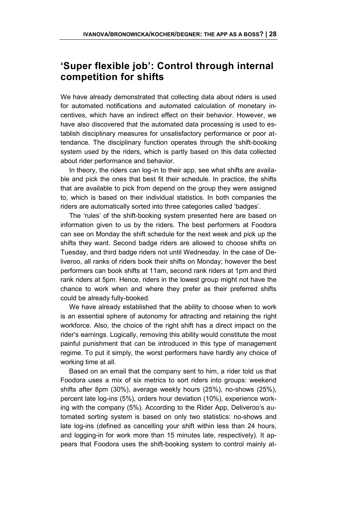#### <span id="page-27-0"></span>**'Super flexible job': Control through internal competition for shifts**

We have already demonstrated that collecting data about riders is used for automated notifications and automated calculation of monetary incentives, which have an indirect effect on their behavior. However, we have also discovered that the automated data processing is used to establish disciplinary measures for unsatisfactory performance or poor attendance. The disciplinary function operates through the shift-booking system used by the riders, which is partly based on this data collected about rider performance and behavior.

In theory, the riders can log-in to their app, see what shifts are available and pick the ones that best fit their schedule. In practice, the shifts that are available to pick from depend on the group they were assigned to, which is based on their individual statistics. In both companies the riders are automatically sorted into three categories called 'badges'.

The 'rules' of the shift-booking system presented here are based on information given to us by the riders. The best performers at Foodora can see on Monday the shift schedule for the next week and pick up the shifts they want. Second badge riders are allowed to choose shifts on Tuesday, and third badge riders not until Wednesday. In the case of Deliveroo, all ranks of riders book their shifts on Monday; however the best performers can book shifts at 11am, second rank riders at 1pm and third rank riders at 5pm. Hence, riders in the lowest group might not have the chance to work when and where they prefer as their preferred shifts could be already fully-booked.

We have already established that the ability to choose when to work is an essential sphere of autonomy for attracting and retaining the right workforce. Also, the choice of the right shift has a direct impact on the rider's earnings. Logically, removing this ability would constitute the most painful punishment that can be introduced in this type of management regime. To put it simply, the worst performers have hardly any choice of working time at all.

Based on an email that the company sent to him, a rider told us that Foodora uses a mix of six metrics to sort riders into groups: weekend shifts after 8pm (30%), average weekly hours (25%), no-shows (25%), percent late log-ins (5%), orders hour deviation (10%), experience working with the company (5%). According to the Rider App, Deliveroo's automated sorting system is based on only two statistics: no-shows and late log-ins (defined as cancelling your shift within less than 24 hours, and logging-in for work more than 15 minutes late, respectively). It appears that Foodora uses the shift-booking system to control mainly at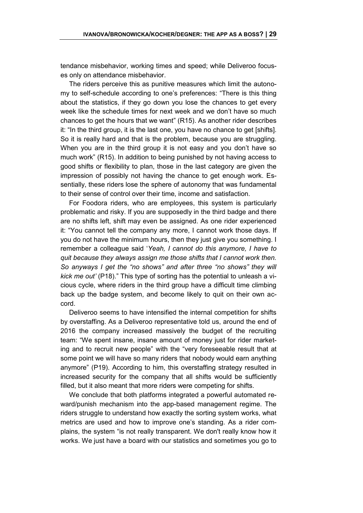tendance misbehavior, working times and speed; while Deliveroo focuses only on attendance misbehavior.

The riders perceive this as punitive measures which limit the autonomy to self-schedule according to one's preferences: "There is this thing about the statistics, if they go down you lose the chances to get every week like the schedule times for next week and we don't have so much chances to get the hours that we want" (R15). As another rider describes it: "In the third group, it is the last one, you have no chance to get [shifts]. So it is really hard and that is the problem, because you are struggling. When you are in the third group it is not easy and you don't have so much work" (R15). In addition to being punished by not having access to good shifts or flexibility to plan, those in the last category are given the impression of possibly not having the chance to get enough work. Essentially, these riders lose the sphere of autonomy that was fundamental to their sense of control over their time, income and satisfaction.

For Foodora riders, who are employees, this system is particularly problematic and risky. If you are supposedly in the third badge and there are no shifts left, shift may even be assigned. As one rider experienced it: "You cannot tell the company any more, I cannot work those days. If you do not have the minimum hours, then they just give you something. I remember a colleague said '*Yeah, I cannot do this anymore, I have to quit because they always assign me those shifts that I cannot work then. So anyways I get the "no shows" and after three "no shows" they will kick me out'* (P18)." This type of sorting has the potential to unleash a vicious cycle, where riders in the third group have a difficult time climbing back up the badge system, and become likely to quit on their own accord.

Deliveroo seems to have intensified the internal competition for shifts by overstaffing. As a Deliveroo representative told us, around the end of 2016 the company increased massively the budget of the recruiting team: "We spent insane, insane amount of money just for rider marketing and to recruit new people" with the "very foreseeable result that at some point we will have so many riders that nobody would earn anything anymore" (P19). According to him, this overstaffing strategy resulted in increased security for the company that all shifts would be sufficiently filled, but it also meant that more riders were competing for shifts.

We conclude that both platforms integrated a powerful automated reward/punish mechanism into the app-based management regime. The riders struggle to understand how exactly the sorting system works, what metrics are used and how to improve one's standing. As a rider complains, the system "is not really transparent. We don't really know how it works. We just have a board with our statistics and sometimes you go to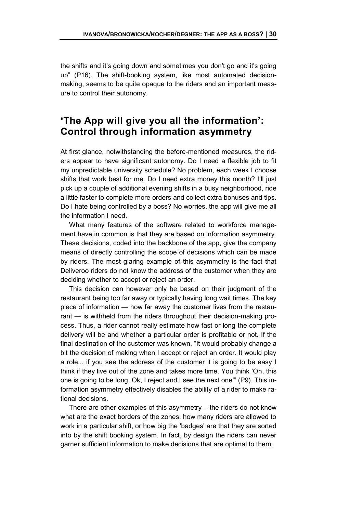the shifts and it's going down and sometimes you don't go and it's going up" (P16). The shift-booking system, like most automated decisionmaking, seems to be quite opaque to the riders and an important measure to control their autonomy.

#### <span id="page-29-0"></span>**'The App will give you all the information': Control through information asymmetry**

At first glance, notwithstanding the before-mentioned measures, the riders appear to have significant autonomy. Do I need a flexible job to fit my unpredictable university schedule? No problem, each week I choose shifts that work best for me. Do I need extra money this month? I'll just pick up a couple of additional evening shifts in a busy neighborhood, ride a little faster to complete more orders and collect extra bonuses and tips. Do I hate being controlled by a boss? No worries, the app will give me all the information I need.

What many features of the software related to workforce management have in common is that they are based on information asymmetry. These decisions, coded into the backbone of the app, give the company means of directly controlling the scope of decisions which can be made by riders. The most glaring example of this asymmetry is the fact that Deliveroo riders do not know the address of the customer when they are deciding whether to accept or reject an order.

This decision can however only be based on their judgment of the restaurant being too far away or typically having long wait times. The key piece of information — how far away the customer lives from the restaurant — is withheld from the riders throughout their decision-making process. Thus, a rider cannot really estimate how fast or long the complete delivery will be and whether a particular order is profitable or not. If the final destination of the customer was known, "It would probably change a bit the decision of making when I accept or reject an order. It would play a role... if you see the address of the customer it is going to be easy I think if they live out of the zone and takes more time. You think 'Oh, this one is going to be long. Ok, I reject and I see the next one'" (P9). This information asymmetry effectively disables the ability of a rider to make rational decisions.

There are other examples of this asymmetry – the riders do not know what are the exact borders of the zones, how many riders are allowed to work in a particular shift, or how big the 'badges' are that they are sorted into by the shift booking system. In fact, by design the riders can never garner sufficient information to make decisions that are optimal to them.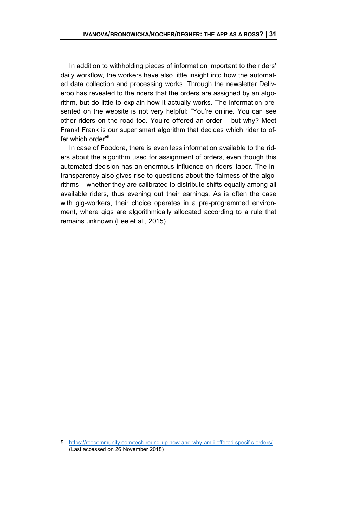In addition to withholding pieces of information important to the riders' daily workflow, the workers have also little insight into how the automated data collection and processing works. Through the newsletter Deliveroo has revealed to the riders that the orders are assigned by an algorithm, but do little to explain how it actually works. The information presented on the website is not very helpful: "You're online. You can see other riders on the road too. You're offered an order – but why? Meet Frank! Frank is our super smart algorithm that decides which rider to offer which order"<sup>5</sup>.

In case of Foodora, there is even less information available to the riders about the algorithm used for assignment of orders, even though this automated decision has an enormous influence on riders' labor. The intransparency also gives rise to questions about the fairness of the algorithms – whether they are calibrated to distribute shifts equally among all available riders, thus evening out their earnings. As is often the case with gig-workers, their choice operates in a pre-programmed environment, where gigs are algorithmically allocated according to a rule that remains unknown (Lee et al., 2015).

 $\overline{a}$ 

<sup>5</sup> <https://roocommunity.com/tech-round-up-how-and-why-am-i-offered-specific-orders/> (Last accessed on 26 November 2018)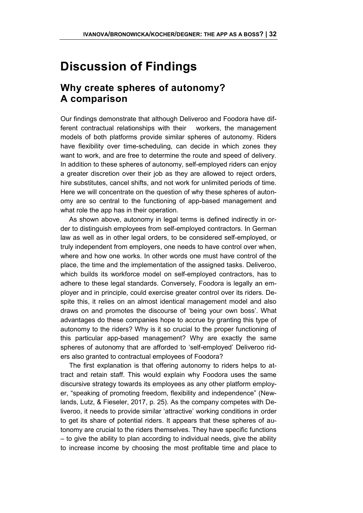# <span id="page-31-0"></span>**Discussion of Findings**

#### <span id="page-31-1"></span>**Why create spheres of autonomy? A comparison**

Our findings demonstrate that although Deliveroo and Foodora have different contractual relationships with their workers, the management models of both platforms provide similar spheres of autonomy. Riders have flexibility over time-scheduling, can decide in which zones they want to work, and are free to determine the route and speed of delivery. In addition to these spheres of autonomy, self-employed riders can enjoy a greater discretion over their job as they are allowed to reject orders, hire substitutes, cancel shifts, and not work for unlimited periods of time. Here we will concentrate on the question of why these spheres of autonomy are so central to the functioning of app-based management and what role the app has in their operation.

As shown above, autonomy in legal terms is defined indirectly in order to distinguish employees from self-employed contractors. In German law as well as in other legal orders, to be considered self-employed, or truly independent from employers, one needs to have control over when, where and how one works. In other words one must have control of the place, the time and the implementation of the assigned tasks. Deliveroo, which builds its workforce model on self-employed contractors, has to adhere to these legal standards. Conversely, Foodora is legally an employer and in principle, could exercise greater control over its riders. Despite this, it relies on an almost identical management model and also draws on and promotes the discourse of 'being your own boss'. What advantages do these companies hope to accrue by granting this type of autonomy to the riders? Why is it so crucial to the proper functioning of this particular app-based management? Why are exactly the same spheres of autonomy that are afforded to 'self-employed' Deliveroo riders also granted to contractual employees of Foodora?

The first explanation is that offering autonomy to riders helps to attract and retain staff. This would explain why Foodora uses the same discursive strategy towards its employees as any other platform employer, "speaking of promoting freedom, flexibility and independence" (Newlands, Lutz, & Fieseler, 2017, p. 25). As the company competes with Deliveroo, it needs to provide similar 'attractive' working conditions in order to get its share of potential riders. It appears that these spheres of autonomy are crucial to the riders themselves. They have specific functions – to give the ability to plan according to individual needs, give the ability to increase income by choosing the most profitable time and place to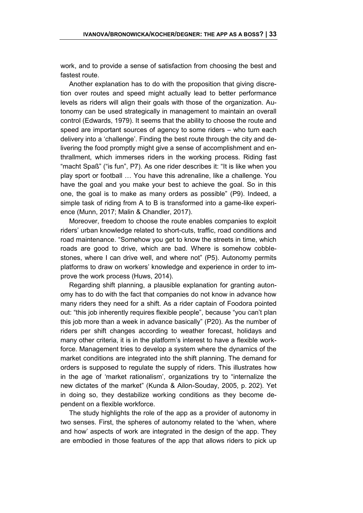work, and to provide a sense of satisfaction from choosing the best and fastest route.

Another explanation has to do with the proposition that giving discretion over routes and speed might actually lead to better performance levels as riders will align their goals with those of the organization. Autonomy can be used strategically in management to maintain an overall control (Edwards, 1979). It seems that the ability to choose the route and speed are important sources of agency to some riders – who turn each delivery into a 'challenge'. Finding the best route through the city and delivering the food promptly might give a sense of accomplishment and enthrallment, which immerses riders in the working process. Riding fast "macht Spaß" ("is fun", P7). As one rider describes it: "It is like when you play sport or football … You have this adrenaline, like a challenge. You have the goal and you make your best to achieve the goal. So in this one, the goal is to make as many orders as possible" (P9). Indeed, a simple task of riding from A to B is transformed into a game-like experience (Munn, 2017; Malin & Chandler, 2017).

Moreover, freedom to choose the route enables companies to exploit riders' urban knowledge related to short-cuts, traffic, road conditions and road maintenance. "Somehow you get to know the streets in time, which roads are good to drive, which are bad. Where is somehow cobblestones, where I can drive well, and where not" (P5). Autonomy permits platforms to draw on workers' knowledge and experience in order to improve the work process (Huws, 2014).

Regarding shift planning, a plausible explanation for granting autonomy has to do with the fact that companies do not know in advance how many riders they need for a shift. As a rider captain of Foodora pointed out: "this job inherently requires flexible people", because "you can't plan this job more than a week in advance basically" (P20). As the number of riders per shift changes according to weather forecast, holidays and many other criteria, it is in the platform's interest to have a flexible workforce. Management tries to develop a system where the dynamics of the market conditions are integrated into the shift planning. The demand for orders is supposed to regulate the supply of riders. This illustrates how in the age of 'market rationalism', organizations try to "internalize the new dictates of the market" (Kunda & Ailon-Souday, 2005, p. 202). Yet in doing so, they destabilize working conditions as they become dependent on a flexible workforce.

The study highlights the role of the app as a provider of autonomy in two senses. First, the spheres of autonomy related to the 'when, where and how' aspects of work are integrated in the design of the app. They are embodied in those features of the app that allows riders to pick up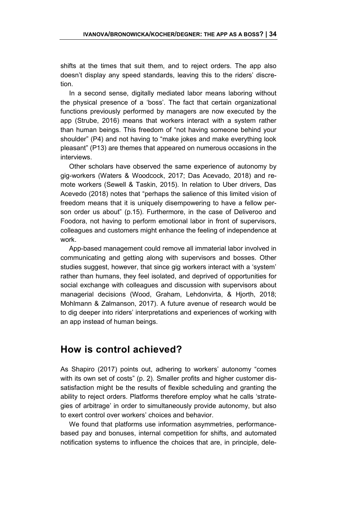shifts at the times that suit them, and to reject orders. The app also doesn't display any speed standards, leaving this to the riders' discretion.

In a second sense, digitally mediated labor means laboring without the physical presence of a 'boss'. The fact that certain organizational functions previously performed by managers are now executed by the app (Strube, 2016) means that workers interact with a system rather than human beings. This freedom of "not having someone behind your shoulder" (P4) and not having to "make jokes and make everything look pleasant" (P13) are themes that appeared on numerous occasions in the interviews.

Other scholars have observed the same experience of autonomy by gig-workers (Waters & Woodcock, 2017; Das Acevado, 2018) and remote workers (Sewell & Taskin, 2015). In relation to Uber drivers, Das Acevedo (2018) notes that "perhaps the salience of this limited vision of freedom means that it is uniquely disempowering to have a fellow person order us about" (p.15). Furthermore, in the case of Deliveroo and Foodora, not having to perform emotional labor in front of supervisors, colleagues and customers might enhance the feeling of independence at work.

App-based management could remove all immaterial labor involved in communicating and getting along with supervisors and bosses. Other studies suggest, however, that since gig workers interact with a 'system' rather than humans, they feel isolated, and deprived of opportunities for social exchange with colleagues and discussion with supervisors about managerial decisions (Wood, Graham, Lehdonvirta, & Hjorth, 2018; Mohlmann & Zalmanson, 2017). A future avenue of research would be to dig deeper into riders' interpretations and experiences of working with an app instead of human beings.

#### <span id="page-33-0"></span>**How is control achieved?**

As Shapiro (2017) points out, adhering to workers' autonomy "comes with its own set of costs" (p. 2). Smaller profits and higher customer dissatisfaction might be the results of flexible scheduling and granting the ability to reject orders. Platforms therefore employ what he calls 'strategies of arbitrage' in order to simultaneously provide autonomy, but also to exert control over workers' choices and behavior.

We found that platforms use information asymmetries, performancebased pay and bonuses, internal competition for shifts, and automated notification systems to influence the choices that are, in principle, dele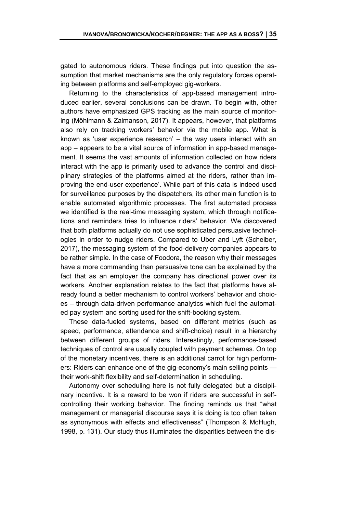gated to autonomous riders. These findings put into question the assumption that market mechanisms are the only regulatory forces operating between platforms and self-employed gig-workers.

Returning to the characteristics of app-based management introduced earlier, several conclusions can be drawn. To begin with, other authors have emphasized GPS tracking as the main source of monitoring (Möhlmann & Zalmanson, 2017). It appears, however, that platforms also rely on tracking workers' behavior via the mobile app. What is known as 'user experience research' – the way users interact with an app – appears to be a vital source of information in app-based management. It seems the vast amounts of information collected on how riders interact with the app is primarily used to advance the control and disciplinary strategies of the platforms aimed at the riders, rather than improving the end-user experience'. While part of this data is indeed used for surveillance purposes by the dispatchers, its other main function is to enable automated algorithmic processes. The first automated process we identified is the real-time messaging system, which through notifications and reminders tries to influence riders' behavior. We discovered that both platforms actually do not use sophisticated persuasive technologies in order to nudge riders. Compared to Uber and Lyft (Scheiber, 2017), the messaging system of the food-delivery companies appears to be rather simple. In the case of Foodora, the reason why their messages have a more commanding than persuasive tone can be explained by the fact that as an employer the company has directional power over its workers. Another explanation relates to the fact that platforms have already found a better mechanism to control workers' behavior and choices – through data-driven performance analytics which fuel the automated pay system and sorting used for the shift-booking system.

These data-fueled systems, based on different metrics (such as speed, performance, attendance and shift-choice) result in a hierarchy between different groups of riders. Interestingly, performance-based techniques of control are usually coupled with payment schemes. On top of the monetary incentives, there is an additional carrot for high performers: Riders can enhance one of the gig-economy's main selling points their work-shift flexibility and self-determination in scheduling.

Autonomy over scheduling here is not fully delegated but a disciplinary incentive. It is a reward to be won if riders are successful in selfcontrolling their working behavior. The finding reminds us that "what management or managerial discourse says it is doing is too often taken as synonymous with effects and effectiveness" (Thompson & McHugh, 1998, p. 131). Our study thus illuminates the disparities between the dis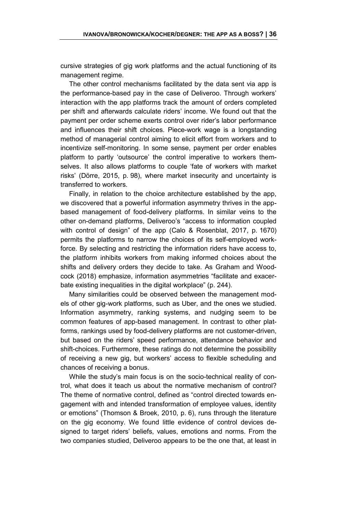cursive strategies of gig work platforms and the actual functioning of its management regime.

The other control mechanisms facilitated by the data sent via app is the performance-based pay in the case of Deliveroo. Through workers' interaction with the app platforms track the amount of orders completed per shift and afterwards calculate riders' income. We found out that the payment per order scheme exerts control over rider's labor performance and influences their shift choices. Piece-work wage is a longstanding method of managerial control aiming to elicit effort from workers and to incentivize self-monitoring. In some sense, payment per order enables platform to partly 'outsource' the control imperative to workers themselves. It also allows platforms to couple 'fate of workers with market risks' (Dörre, 2015, p. 98), where market insecurity and uncertainty is transferred to workers.

Finally, in relation to the choice architecture established by the app, we discovered that a powerful information asymmetry thrives in the appbased management of food-delivery platforms. In similar veins to the other on-demand platforms, Deliveroo's "access to information coupled with control of design" of the app (Calo & Rosenblat, 2017, p. 1670) permits the platforms to narrow the choices of its self-employed workforce. By selecting and restricting the information riders have access to, the platform inhibits workers from making informed choices about the shifts and delivery orders they decide to take. As Graham and Woodcock (2018) emphasize, information asymmetries "facilitate and exacerbate existing inequalities in the digital workplace" (p. 244).

Many similarities could be observed between the management models of other gig-work platforms, such as Uber, and the ones we studied. Information asymmetry, ranking systems, and nudging seem to be common features of app-based management. In contrast to other platforms, rankings used by food-delivery platforms are not customer-driven, but based on the riders' speed performance, attendance behavior and shift-choices. Furthermore, these ratings do not determine the possibility of receiving a new gig, but workers' access to flexible scheduling and chances of receiving a bonus.

While the study's main focus is on the socio-technical reality of control, what does it teach us about the normative mechanism of control? The theme of normative control, defined as "control directed towards engagement with and intended transformation of employee values, identity or emotions" (Thomson & Broek, 2010, p. 6), runs through the literature on the gig economy. We found little evidence of control devices designed to target riders' beliefs, values, emotions and norms. From the two companies studied, Deliveroo appears to be the one that, at least in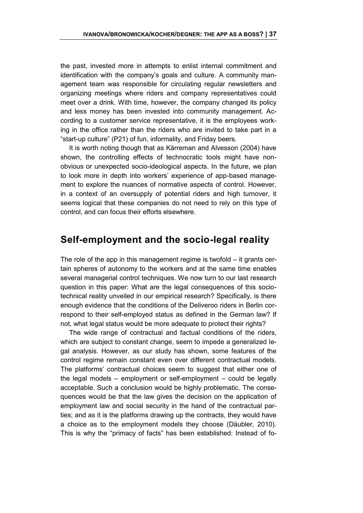the past, invested more in attempts to enlist internal commitment and identification with the company's goals and culture. A community management team was responsible for circulating regular newsletters and organizing meetings where riders and company representatives could meet over a drink. With time, however, the company changed its policy and less money has been invested into community management. According to a customer service representative, it is the employees working in the office rather than the riders who are invited to take part in a "start-up culture" (P21) of fun, informality, and Friday beers.

It is worth noting though that as Kärreman and Alvesson (2004) have shown, the controlling effects of technocratic tools might have nonobvious or unexpected socio-ideological aspects. In the future, we plan to look more in depth into workers' experience of app-based management to explore the nuances of normative aspects of control. However, in a context of an oversupply of potential riders and high turnover, it seems logical that these companies do not need to rely on this type of control, and can focus their efforts elsewhere.

#### <span id="page-36-0"></span>**Self-employment and the socio-legal reality**

The role of the app in this management regime is twofold – it grants certain spheres of autonomy to the workers and at the same time enables several managerial control techniques. We now turn to our last research question in this paper: What are the legal consequences of this sociotechnical reality unveiled in our empirical research? Specifically, is there enough evidence that the conditions of the Deliveroo riders in Berlin correspond to their self-employed status as defined in the German law? If not, what legal status would be more adequate to protect their rights?

The wide range of contractual and factual conditions of the riders, which are subject to constant change, seem to impede a generalized legal analysis. However, as our study has shown, some features of the control regime remain constant even over different contractual models. The platforms' contractual choices seem to suggest that either one of the legal models – employment or self-employment – could be legally acceptable. Such a conclusion would be highly problematic. The consequences would be that the law gives the decision on the application of employment law and social security in the hand of the contractual parties; and as it is the platforms drawing up the contracts, they would have a choice as to the employment models they choose (Däubler, 2010). This is why the "primacy of facts" has been established: Instead of fo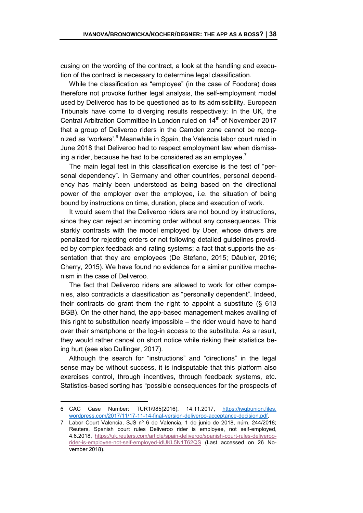cusing on the wording of the contract, a look at the handling and execution of the contract is necessary to determine legal classification.

While the classification as "employee" (in the case of Foodora) does therefore not provoke further legal analysis, the self-employment model used by Deliveroo has to be questioned as to its admissibility. European Tribunals have come to diverging results respectively: In the UK, the Central Arbitration Committee in London ruled on 14<sup>th</sup> of November 2017 that a group of Deliveroo riders in the Camden zone cannot be recognized as 'workers'.<sup>6</sup> Meanwhile in Spain, the Valencia labor court ruled in June 2018 that Deliveroo had to respect employment law when dismissing a rider, because he had to be considered as an employee.<sup>7</sup>

The main legal test in this classification exercise is the test of "personal dependency". In Germany and other countries, personal dependency has mainly been understood as being based on the directional power of the employer over the employee, i.e. the situation of being bound by instructions on time, duration, place and execution of work.

It would seem that the Deliveroo riders are not bound by instructions, since they can reject an incoming order without any consequences. This starkly contrasts with the model employed by Uber, whose drivers are penalized for rejecting orders or not following detailed guidelines provided by complex feedback and rating systems; a fact that supports the assentation that they are employees (De Stefano, 2015; Däubler, 2016; Cherry, 2015). We have found no evidence for a similar punitive mechanism in the case of Deliveroo.

The fact that Deliveroo riders are allowed to work for other companies, also contradicts a classification as "personally dependent". Indeed, their contracts do grant them the right to appoint a substitute (§ 613 BGB). On the other hand, the app-based management makes availing of this right to substitution nearly impossible – the rider would have to hand over their smartphone or the log-in access to the substitute. As a result, they would rather cancel on short notice while risking their statistics being hurt (see also Dullinger, 2017).

Although the search for "instructions" and "directions" in the legal sense may be without success, it is indisputable that this platform also exercises control, through incentives, through feedback systems, etc. Statistics-based sorting has "possible consequences for the prospects of

 $\overline{a}$ 

<sup>6</sup> CAC Case Number: TUR1/985(2016), 14.11.2017, https://iwgbunion.files. wordpress.com/2017/11/17-11-14-final-version-deliveroo-acceptance-decision.pdf.

<sup>7</sup> Labor Court Valencia, SJS nº 6 de Valencia, 1 de junio de 2018, núm. 244/2018; Reuters, Spanish court rules Deliveroo rider is employee, not self-employed, 4.6.2018, [https://uk.reuters.com/article/spain-deliveroo/spanish-court-rules-deliveroo](https://uk.reuters.com/article/spain-deliveroo/spanish-court-rules-deliveroo-rider-is-employee-not-self-employed-idUKL5N1T62QS)[rider-is-employee-not-self-employed-idUKL5N1T62QS](https://uk.reuters.com/article/spain-deliveroo/spanish-court-rules-deliveroo-rider-is-employee-not-self-employed-idUKL5N1T62QS) (Last accessed on 26 November 2018).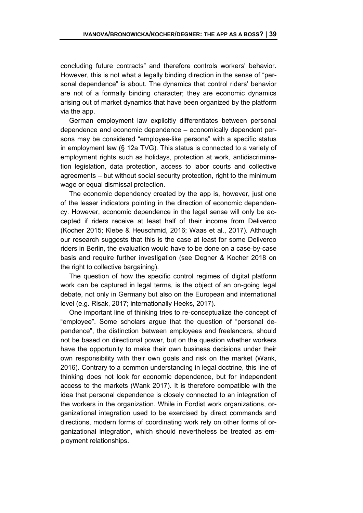concluding future contracts" and therefore controls workers' behavior. However, this is not what a legally binding direction in the sense of "personal dependence" is about. The dynamics that control riders' behavior are not of a formally binding character; they are economic dynamics arising out of market dynamics that have been organized by the platform via the app.

German employment law explicitly differentiates between personal dependence and economic dependence – economically dependent persons may be considered "employee-like persons" with a specific status in employment law (§ 12a TVG). This status is connected to a variety of employment rights such as holidays, protection at work, antidiscrimination legislation, data protection, access to labor courts and collective agreements – but without social security protection, right to the minimum wage or equal dismissal protection.

The economic dependency created by the app is, however, just one of the lesser indicators pointing in the direction of economic dependency. However, economic dependence in the legal sense will only be accepted if riders receive at least half of their income from Deliveroo (Kocher 2015; Klebe & Heuschmid, 2016; Waas et al., 2017). Although our research suggests that this is the case at least for some Deliveroo riders in Berlin, the evaluation would have to be done on a case-by-case basis and require further investigation (see Degner & Kocher 2018 on the right to collective bargaining).

The question of how the specific control regimes of digital platform work can be captured in legal terms, is the object of an on-going legal debate, not only in Germany but also on the European and international level (e.g. Risak, 2017; internationally Heeks, 2017).

One important line of thinking tries to re-conceptualize the concept of "employee". Some scholars argue that the question of "personal dependence", the distinction between employees and freelancers, should not be based on directional power, but on the question whether workers have the opportunity to make their own business decisions under their own responsibility with their own goals and risk on the market (Wank, 2016). Contrary to a common understanding in legal doctrine, this line of thinking does not look for economic dependence, but for independent access to the markets (Wank 2017). It is therefore compatible with the idea that personal dependence is closely connected to an integration of the workers in the organization. While in Fordist work organizations, organizational integration used to be exercised by direct commands and directions, modern forms of coordinating work rely on other forms of organizational integration, which should nevertheless be treated as employment relationships.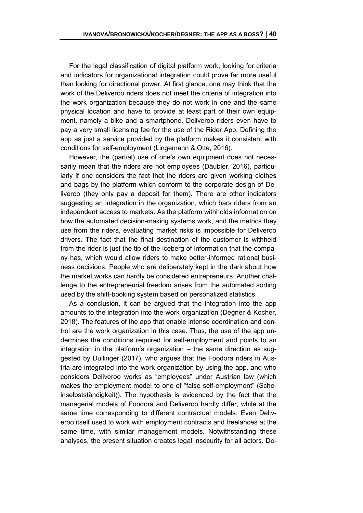For the legal classification of digital platform work, looking for criteria and indicators for organizational integration could prove far more useful than looking for directional power. At first glance, one may think that the work of the Deliveroo riders does not meet the criteria of integration into the work organization because they do not work in one and the same physical location and have to provide at least part of their own equipment, namely a bike and a smartphone. Deliveroo riders even have to pay a very small licensing fee for the use of the Rider App. Defining the app as just a service provided by the platform makes it consistent with conditions for self-employment (Lingemann & Otte, 2016).

However, the (partial) use of one's own equipment does not necessarily mean that the riders are not employees (Däubler, 2016), particularly if one considers the fact that the riders are given working clothes and bags by the platform which conform to the corporate design of Deliveroo (they only pay a deposit for them). There are other indicators suggesting an integration in the organization, which bars riders from an independent access to markets: As the platform withholds information on how the automated decision-making systems work, and the metrics they use from the riders, evaluating market risks is impossible for Deliveroo drivers. The fact that the final destination of the customer is withheld from the rider is just the tip of the iceberg of information that the company has, which would allow riders to make better-informed rational business decisions. People who are deliberately kept in the dark about how the market works can hardly be considered entrepreneurs. Another challenge to the entrepreneurial freedom arises from the automated sorting used by the shift-booking system based on personalized statistics.

As a conclusion, it can be argued that the integration into the app amounts to the integration into the work organization (Degner & Kocher, 2018). The features of the app that enable intense coordination and control are the work organization in this case. Thus, the use of the app undermines the conditions required for self-employment and points to an integration in the platform's organization – the same direction as suggested by Dullinger (2017), who argues that the Foodora riders in Austria are integrated into the work organization by using the app, and who considers Deliveroo works as "employees" under Austrian law (which makes the employment model to one of "false self-employment" (Scheinselbstständigkeit)). The hypothesis is evidenced by the fact that the managerial models of Foodora and Deliveroo hardly differ, while at the same time corresponding to different contractual models. Even Deliveroo itself used to work with employment contracts and freelances at the same time, with similar management models. Notwithstanding these analyses, the present situation creates legal insecurity for all actors. De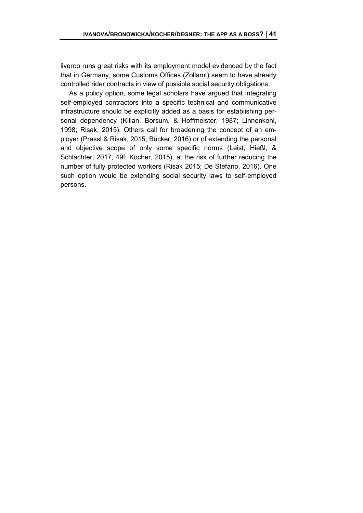liveroo runs great risks with its employment model evidenced by the fact that in Germany, some Customs Offices (Zollamt) seem to have already controlled rider contracts in view of possible social security obligations.

As a policy option, some legal scholars have argued that integrating self-employed contractors into a specific technical and communicative infrastructure should be explicitly added as a basis for establishing personal dependency (Kilian, Borsum, & Hoffmeister, 1987; Linnenkohl, 1998; Risak, 2015). Others call for broadening the concept of an employer (Prassl & Risak, 2015; Bücker, 2016) or of extending the personal and objective scope of only some specific norms (Leist, Hießl, & Schlachter, 2017, 49f; Kocher, 2015), at the risk of further reducing the number of fully protected workers (Risak 2015; De Stefano, 2016). One such option would be extending social security laws to self-employed persons.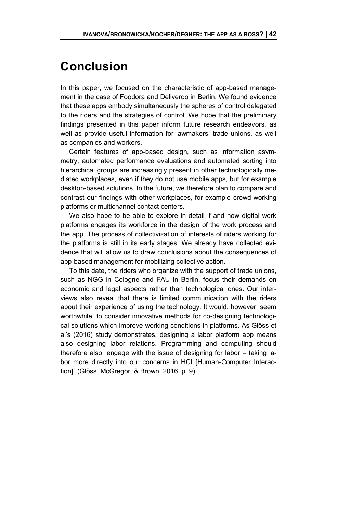# <span id="page-41-0"></span>**Conclusion**

In this paper, we focused on the characteristic of app-based management in the case of Foodora and Deliveroo in Berlin. We found evidence that these apps embody simultaneously the spheres of control delegated to the riders and the strategies of control. We hope that the preliminary findings presented in this paper inform future research endeavors, as well as provide useful information for lawmakers, trade unions, as well as companies and workers.

Certain features of app-based design, such as information asymmetry, automated performance evaluations and automated sorting into hierarchical groups are increasingly present in other technologically mediated workplaces, even if they do not use mobile apps, but for example desktop-based solutions. In the future, we therefore plan to compare and contrast our findings with other workplaces, for example crowd-working platforms or multichannel contact centers.

We also hope to be able to explore in detail if and how digital work platforms engages its workforce in the design of the work process and the app. The process of collectivization of interests of riders working for the platforms is still in its early stages. We already have collected evidence that will allow us to draw conclusions about the consequences of app-based management for mobilizing collective action.

To this date, the riders who organize with the support of trade unions, such as NGG in Cologne and FAU in Berlin, focus their demands on economic and legal aspects rather than technological ones. Our interviews also reveal that there is limited communication with the riders about their experience of using the technology. It would, however, seem worthwhile, to consider innovative methods for co-designing technological solutions which improve working conditions in platforms. As Glöss et al's (2016) study demonstrates, designing a labor platform app means also designing labor relations. Programming and computing should therefore also "engage with the issue of designing for labor – taking labor more directly into our concerns in HCI [Human-Computer Interaction]" (Glöss, McGregor, & Brown, 2016, p. 9).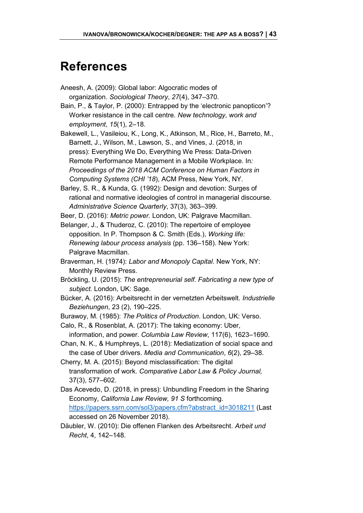## <span id="page-42-0"></span>**References**

- Aneesh, A. (2009): Global labor: Algocratic modes of organization. *Sociological Theory*, *27*(4), 347–370.
- Bain, P., & Taylor, P. (2000): Entrapped by the 'electronic panopticon'? Worker resistance in the call centre. *New technology, work and employment*, *15*(1), 2–18.
- Bakewell, L., Vasileiou, K., Long, K., Atkinson, M., Rice, H., Barreto, M., Barnett, J., Wilson, M., Lawson, S., and Vines, J. (2018, in press): Everything We Do, Everything We Press: Data-Driven Remote Performance Management in a Mobile Workplace. In*: Proceedings of the 2018 ACM Conference on Human Factors in Computing Systems (CHI '18*), ACM Press, New York, NY.
- Barley, S. R., & Kunda, G. (1992): Design and devotion: Surges of rational and normative ideologies of control in managerial discourse. *Administrative Science Quarterly*, 37(3), 363–399.

Beer, D. (2016): *Metric power.* London, UK: Palgrave Macmillan.

- Belanger, J., & Thuderoz, C. (2010): The repertoire of employee opposition. In P. Thompson & C. Smith (Eds.), *Working life: Renewing labour process analysis* (pp. 136–158). New York: Palgrave Macmillan.
- Braverman, H. (1974): *Labor and Monopoly Capital*. New York, NY: Monthly Review Press.
- Bröckling, U. (2015): *The entrepreneurial self. Fabricating a new type of subject.* London, UK: Sage.
- Bücker, A. (2016): Arbeitsrecht in der vernetzten Arbeitswelt. *Industrielle Beziehungen*, 23 (2), 190–225.

Burawoy, M. (1985): *The Politics of Production*. London, UK: Verso.

- Calo, R., & Rosenblat, A. (2017): The taking economy: Uber, information, and power. *Columbia Law Review*, 117(6), 1623–1690.
- Chan, N. K., & Humphreys, L. (2018): Mediatization of social space and the case of Uber drivers. *Media and Communication*, *6*(2), 29–38.
- Cherry, M. A. (2015): Beyond misclassification: The digital transformation of work. *Comparative Labor Law & Policy Journal,* 37(3), 577–602.
- Das Acevedo, D. (2018, in press): Unbundling Freedom in the Sharing Economy, *California Law Review, 91 S* forthcoming. [https://papers.ssrn.com/sol3/papers.cfm?abstract\\_id=3018211](https://papers.ssrn.com/sol3/papers.cfm?abstract_id=3018211) (Last accessed on 26 November 2018).
- Däubler, W. (2010): Die offenen Flanken des Arbeitsrecht. *Arbeit und Recht*, 4, 142–148.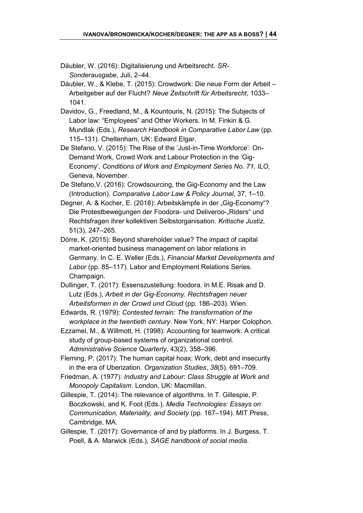- Däubler, W. (2016): Digitalisierung und Arbeitsrecht. *SR-Sonderausgabe*, Juli, 2–44.
- Däubler, W., & Klebe, T. (2015): Crowdwork: Die neue Form der Arbeit Arbeitgeber auf der Flucht? *Neue Zeitschrift für Arbeitsrecht*, 1033– 1041.
- Davidov, G., Freedland, M., & Kountouris, N. (2015): The Subjects of Labor law: "Employees" and Other Workers. In M. Finkin & G. Mundlak (Eds.), *Research Handbook in Comparative Labor Law* (pp. 115–131). Cheltenham, UK: Edward Elgar.
- De Stefano, V. (2015): The Rise of the 'Just-in-Time Workforce': On-Demand Work, Crowd Work and Labour Protection in the 'Gig-Economy', *Conditions of Work and Employment Series No. 71, ILO*, Geneva, November.
- De Stefano,V. (2016): Crowdsourcing, the Gig-Economy and the Law (Introduction). *Comparative Labor Law & Policy Journal*, 37, 1–10.
- Degner, A. & Kocher, E. (2018): Arbeitskämpfe in der "Gig-Economy"? Die Protestbewegungen der Foodora- und Deliveroo-"Riders" und Rechtsfragen ihrer kollektiven Selbstorganisation. *Kritische Justiz*, 51(3), 247–265.
- Dörre, K. (2015): Beyond shareholder value? The impact of capital market-oriented business management on labor relations in Germany. In C. E. Weller (Eds.), *Financial Market Developments and Labor* (pp. 85–117). Labor and Employment Relations Series. Champaign.
- Dullinger, T. (2017): Essenszustellung: foodora. In M.E. Risak and D. Lutz (Eds.), *Arbeit in der Gig-Economy. Rechtsfragen neuer Arbeitsformen in der Crowd und Cloud* (pp. 186–203)*.* Wien.

Edwards, R. (1979): *Contested terrain: The transformation of the workplace in the twentieth century*. New York, NY: Harper Colophon.

- Ezzamel, M., & Willmott, H. (1998): Accounting for teamwork: A critical study of group-based systems of organizational control. *Administrative Science Quarterly*, 43(2), 358–396.
- Fleming, P. (2017): The human capital hoax: Work, debt and insecurity in the era of Uberization. *Organization Studies*, *38*(5), 691–709.
- Friedman, A. (1977): *Industry and Labour: Class Struggle at Work and Monopoly Capitalism*. London, UK: Macmillan.
- Gillespie, T. (2014): The relevance of algorithms. In T. Gillespie, P. Boczkowski, and K. Foot (Eds*.*)*, Media Technologies: Essays on Communication, Materiality, and Society* (pp. 167–194). MIT Press, Cambridge, MA.
- Gillespie, T. (2017): Governance of and by platforms. In J. Burgess, T. Poell, & A. Marwick (Eds.), *SAGE handbook of social media*.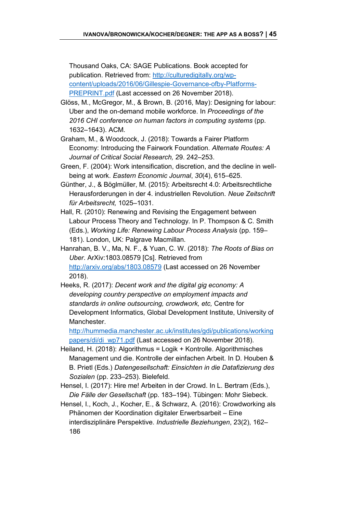Thousand Oaks, CA: SAGE Publications. Book accepted for publication. Retrieved from: [http://culturedigitally.org/wp](http://culturedigitally.org/wp-content/uploads/2016/06/Gillespie-Governance-ofby-Platforms-PREPRINT.pdf)[content/uploads/2016/06/Gillespie-Governance-ofby-Platforms-](http://culturedigitally.org/wp-content/uploads/2016/06/Gillespie-Governance-ofby-Platforms-PREPRINT.pdf)[PREPRINT.pdf](http://culturedigitally.org/wp-content/uploads/2016/06/Gillespie-Governance-ofby-Platforms-PREPRINT.pdf) (Last accessed on 26 November 2018).

- Glöss, M., McGregor, M., & Brown, B. (2016, May): Designing for labour: Uber and the on-demand mobile workforce. In *Proceedings of the 2016 CHI conference on human factors in computing systems* (pp. 1632–1643). ACM.
- Graham, M., & Woodcock, J. (2018): Towards a Fairer Platform Economy: Introducing the Fairwork Foundation*. Alternate Routes: A Journal of Critical Social Research,* 29. 242–253.
- Green, F. (2004): Work intensification, discretion, and the decline in wellbeing at work. *Eastern Economic Journal*, *30*(4), 615–625.
- Günther, J., & Böglmüller, M. (2015): Arbeitsrecht 4.0: Arbeitsrechtliche Herausforderungen in der 4. industriellen Revolution. *Neue Zeitschrift für Arbeitsrecht,* 1025–1031.
- Hall, R. (2010): Renewing and Revising the Engagement between Labour Process Theory and Technology. In P. Thompson & C. Smith (Eds.), *Working Life: Renewing Labour Process Analysis* (pp. 159– 181). London, UK: Palgrave Macmillan.
- Hanrahan, B. V., Ma, N. F., & Yuan, C. W. (2018): *The Roots of Bias on Uber*. ArXiv:1803.08579 [Cs]. Retrieved from <http://arxiv.org/abs/1803.08579> (Last accessed on 26 November 2018).
- Heeks, R. (2017): *Decent work and the digital gig economy: A developing country perspective on employment impacts and standards in online outsourcing, crowdwork, etc,* Centre for Development Informatics, Global Development Institute, University of Manchester.

[http://hummedia.manchester.ac.uk/institutes/gdi/publications/working](http://hummedia.manchester.ac.uk/institutes/gdi/publications/workingpapers/di/di_wp71.pdf) [papers/di/di\\_wp71.pdf](http://hummedia.manchester.ac.uk/institutes/gdi/publications/workingpapers/di/di_wp71.pdf) (Last accessed on 26 November 2018).

- Heiland, H. (2018): Algorithmus = Logik + Kontrolle. Algorithmisches Management und die. Kontrolle der einfachen Arbeit. In D. Houben & B. Prietl (Eds.) *Datengesellschaft: Einsichten in die Datafizierung des Sozialen* (pp. 233–253). Bielefeld.
- Hensel, I. (2017): Hire me! Arbeiten in der Crowd. In L. Bertram (Eds.), *Die Fälle der Gesellschaft* (pp. 183–194). Tübingen: Mohr Siebeck.

Hensel, I., Koch, J., Kocher, E., & Schwarz, A. (2016): Crowdworking als Phänomen der Koordination digitaler Erwerbsarbeit – Eine interdisziplinäre Perspektive. *Industrielle Beziehungen*, 23(2), 162– 186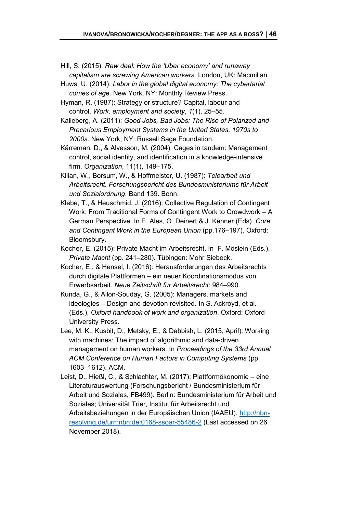- Hill, S. (2015): *Raw deal: How the 'Uber economy' and runaway capitalism are screwing American workers.* London, UK: Macmillan.
- Huws, U. (2014): *Labor in the global digital economy: The cybertariat comes of age*. New York, NY: Monthly Review Press.
- Hyman, R. (1987): Strategy or structure? Capital, labour and control. *Work, employment and society*, *1*(1), 25–55.
- Kalleberg, A. (2011): *Good Jobs, Bad Jobs: The Rise of Polarized and Precarious Employment Systems in the United States, 1970s to 2000s*. New York, NY: Russell Sage Foundation.
- Kärreman, D., & Alvesson, M. (2004): Cages in tandem: Management control, social identity, and identification in a knowledge-intensive firm. *Organization*, 11(1), 149–175.
- Kilian, W., Borsum, W., & Hoffmeister, U. (1987): *Telearbeit und Arbeitsrecht. Forschungsbericht des Bundesministeriums für Arbeit und Sozialordnung*. Band 139. Bonn.
- Klebe, T., & Heuschmid, J. (2016): Collective Regulation of Contingent Work: From Traditional Forms of Contingent Work to Crowdwork – A German Perspective. In E. Ales, O. Deinert & J. Kenner (Eds). *Core and Contingent Work in the European Union* (pp.176–197). Oxford: Bloomsbury.
- Kocher, E. (2015): Private Macht im Arbeitsrecht. In F. Möslein (Eds.), *Private Macht* (pp. 241–280). Tübingen: Mohr Siebeck.
- Kocher, E., & Hensel, I. (2016): Herausforderungen des Arbeitsrechts durch digitale Plattformen – ein neuer Koordinationsmodus von Erwerbsarbeit. *Neue Zeitschrift für Arbeitsrecht*: 984–990.
- Kunda, G., & Ailon-Souday, G. (2005): Managers, markets and ideologies – Design and devotion revisited. In S. Ackroyd, et al. (Eds.), *Oxford handbook of work and organization*. Oxford: Oxford University Press.
- Lee, M. K., Kusbit, D., Metsky, E., & Dabbish, L. (2015, April): Working with machines: The impact of algorithmic and data-driven management on human workers. In *Proceedings of the 33rd Annual ACM Conference on Human Factors in Computing Systems* (pp. 1603–1612). ACM.
- Leist, D., Hießl, C., & Schlachter, M. (2017): Plattformökonomie eine Literaturauswertung (Forschungsbericht / Bundesministerium für Arbeit und Soziales, FB499). Berlin: Bundesministerium für Arbeit und Soziales; Universität Trier, Institut für Arbeitsrecht und Arbeitsbeziehungen in der Europäischen Union (IAAEU). [http://nbn](http://nbn-resolving.de/urn:nbn:de:0168-ssoar-55486-2)[resolving.de/urn:nbn:de:0168-ssoar-55486-2](http://nbn-resolving.de/urn:nbn:de:0168-ssoar-55486-2) (Last accessed on 26 November 2018).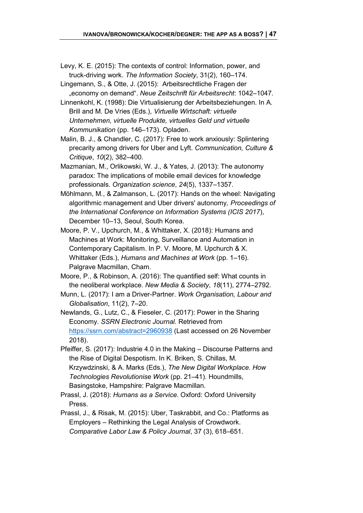- Levy, K. E. (2015): The contexts of control: Information, power, and truck-driving work. *The Information Society*, 31(2), 160–174.
- Lingemann, S., & Otte, J. (2015): Arbeitsrechtliche Fragen der "economy on demand". *Neue Zeitschrift für Arbeitsrecht*: 1042–1047.
- Linnenkohl, K. (1998): Die Virtualisierung der Arbeitsbeziehungen. In A. Brill and M. De Vries (Eds.), *Virtuelle Wirtschaft: virtuelle Unternehmen, virtuelle Produkte, virtuelles Geld und virtuelle Kommunikation* (pp. 146–173). Opladen.
- Malin, B. J., & Chandler, C. (2017): Free to work anxiously: Splintering precarity among drivers for Uber and Lyft. *Communication, Culture & Critique*, *10*(2), 382–400.
- Mazmanian, M., Orlikowski, W. J., & Yates, J. (2013): The autonomy paradox: The implications of mobile email devices for knowledge professionals. *Organization science*, *24*(5), 1337–1357.
- Möhlmann, M., & Zalmanson, L. (2017): Hands on the wheel: Navigating algorithmic management and Uber drivers' autonomy*, Proceedings of the International Conference on Information Systems (ICIS 2017*), December 10–13, Seoul, South Korea.
- Moore, P. V., Upchurch, M., & Whittaker, X. (2018): Humans and Machines at Work: Monitoring, Surveillance and Automation in Contemporary Capitalism. In P. V. Moore, M. Upchurch & X. Whittaker (Eds.), *Humans and Machines at Work* (pp. 1–16). Palgrave Macmillan, Cham.
- Moore, P., & Robinson, A. (2016): The quantified self: What counts in the neoliberal workplace. *New Media & Society*, *18*(11), 2774–2792.
- Munn, L. (2017): I am a Driver-Partner. *Work Organisation, Labour and Globalisation*, 11(2), 7–20.
- Newlands, G., Lutz, C., & Fieseler, C. (2017): Power in the Sharing Economy. *SSRN Electronic Journal.* Retrieved from <https://ssrn.com/abstract=2960938> (Last accessed on 26 November 2018).
- Pfeiffer, S. (2017): Industrie 4.0 in the Making Discourse Patterns and the Rise of Digital Despotism. In K. Briken, S. Chillas, M. Krzywdzinski, & A. Marks (Eds.), *The New Digital Workplace. How Technologies Revolutionise Work* (pp. 21–41). Houndmills, Basingstoke, Hampshire: Palgrave Macmillan.
- Prassl, J. (2018): *Humans as a Service*. Oxford: Oxford University Press.
- Prassl, J., & Risak, M. (2015): Uber, Taskrabbit, and Co.: Platforms as Employers – Rethinking the Legal Analysis of Crowdwork. *Comparative Labor Law & Policy Journal*, 37 (3), 618–651.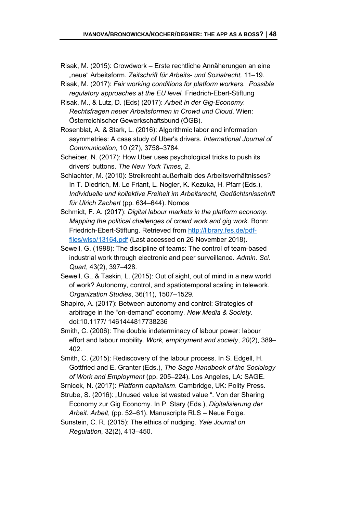- Risak, M. (2015): Crowdwork Erste rechtliche Annäherungen an eine "neue" Arbeitsform. *Zeitschrift für Arbeits- und Sozialrecht,* 11–19.
- Risak, M. (2017): *Fair working conditions for platform workers. Possible regulatory approaches at the EU level.* Friedrich-Ebert-Stiftung
- Risak, M., & Lutz, D. (Eds) (2017): *Arbeit in der Gig-Economy. Rechtsfragen neuer Arbeitsformen in Crowd und Cloud*. Wien: Österreichischer Gewerkschaftsbund (ÖGB).
- Rosenblat, A. & Stark, L. (2016): Algorithmic labor and information asymmetries: A case study of Uber's drivers. *International Journal of Communication,* 10 (27), 3758–3784.
- Scheiber, N. (2017): How Uber uses psychological tricks to push its drivers' buttons. *The New York Times*, *2*.
- Schlachter, M. (2010): Streikrecht außerhalb des Arbeitsverhältnisses? In T. Diedrich, M. Le Friant, L. Nogler, K. Kezuka, H. Pfarr (Eds.), *Individuelle und kollektive Freiheit im Arbeitsrecht, Gedächtsnisschrift für Ulrich Zachert* (pp. 634–644). Nomos
- Schmidt, F. A. (2017): *Digital labour markets in the platform economy. Mapping the political challenges of crowd work and gig work*. Bonn: Friedrich-Ebert-Stiftung. Retrieved from [http://library.fes.de/pdf](http://library.fes.de/pdf-files/wiso/13164.pdf)[files/wiso/13164.pdf](http://library.fes.de/pdf-files/wiso/13164.pdf) (Last accessed on 26 November 2018).
- Sewell, G. (1998): The discipline of teams: The control of team-based industrial work through electronic and peer surveillance. *Admin. Sci. Quart*, 43(2), 397–428.
- Sewell, G., & Taskin, L. (2015): Out of sight, out of mind in a new world of work? Autonomy, control, and spatiotemporal scaling in telework. *Organization Studies*, 36(11), 1507–1529.
- Shapiro, A. (2017): Between autonomy and control: Strategies of arbitrage in the "on-demand" economy. *New Media & Society*. doi:10.1177/ 1461444817738236
- Smith, C. (2006): The double indeterminacy of labour power: labour effort and labour mobility. *Work, employment and society*, *20*(2), 389– 402.
- Smith, C. (2015): Rediscovery of the labour process. In S. Edgell, H. Gottfried and E. Granter (Eds.), *The Sage Handbook of the Sociology of Work and Employment* (pp. 205–224). Los Angeles, LA: SAGE.
- Srnicek, N. (2017): *Platform capitalism*. Cambridge, UK: Polity Press.
- Strube, S. (2016): "Unused value ist wasted value ". Von der Sharing Economy zur Gig Economy. In P. Stary (Eds.), *Digitalisierung der Arbeit. Arbeit*, (pp. 52–61). Manuscripte RLS – Neue Folge.
- Sunstein, C. R. (2015): The ethics of nudging. *Yale Journal on Regulation*, 32(2), 413–450.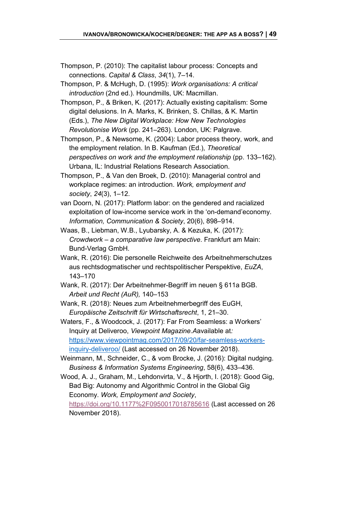- Thompson, P. (2010): The capitalist labour process: Concepts and connections. *Capital & Class*, *34*(1), 7–14.
- Thompson, P. & McHugh, D. (1995): *Work organisations: A critical introduction* (2nd ed.). Houndmills, UK: Macmillan.

Thompson, P., & Briken, K. (2017): Actually existing capitalism: Some digital delusions. In A. Marks, K. Brinken, S. Chillas, & K. Martin (Eds.), *The New Digital Workplace: How New Technologies Revolutionise Work* (pp. 241–263). London, UK: Palgrave.

Thompson, P., & Newsome, K. (2004): Labor process theory, work, and the employment relation. In B. Kaufman (Ed.), *Theoretical perspectives on work and the employment relationship* (pp. 133–162). Urbana, IL: Industrial Relations Research Association.

Thompson, P., & Van den Broek, D. (2010): Managerial control and workplace regimes: an introduction. *Work, employment and society*, *24*(3), 1–12.

van Doorn, N. (2017): Platform labor: on the gendered and racialized exploitation of low-income service work in the 'on-demand'economy. *Information, Communication & Society*, 20(6), 898–914.

Waas, B., Liebman, W.B., Lyubarsky, A. & Kezuka, K. (2017): *Crowdwork – a comparative law perspective*. Frankfurt am Main: Bund-Verlag GmbH.

- Wank, R. (2016): Die personelle Reichweite des Arbeitnehmerschutzes aus rechtsdogmatischer und rechtspolitischer Perspektive, *EuZA*, 143–170
- Wank, R. (2017): Der Arbeitnehmer-Begriff im neuen § 611a BGB. *Arbeit und Recht (AuR),* 140–153
- Wank, R. (2018): Neues zum Arbeitnehmerbegriff des EuGH, *Europäische Zeitschrift für Wirtschaftsrecht*, 1, 21–30.

Waters, F., & Woodcock, J. (2017): Far From Seamless: a Workers' Inquiry at Deliveroo, *Viewpoint Magazine.A*available at*:*  [https://www.viewpointmag.com/2017/09/20/far-seamless-workers](https://www.viewpointmag.com/2017/09/20/far-seamless-workers-inquiry-deliveroo/)[inquiry-deliveroo/](https://www.viewpointmag.com/2017/09/20/far-seamless-workers-inquiry-deliveroo/) (Last accessed on 26 November 2018).

Weinmann, M., Schneider, C., & vom Brocke, J. (2016): Digital nudging. *Business & Information Systems Engineering*, 58(6), 433–436.

Wood, A. J., Graham, M., Lehdonvirta, V., & Hjorth, I. (2018): Good Gig, Bad Big: Autonomy and Algorithmic Control in the Global Gig Economy. *Work, Employment and Society*, <https://doi.org/10.1177%2F0950017018785616> (Last accessed on 26 November 2018).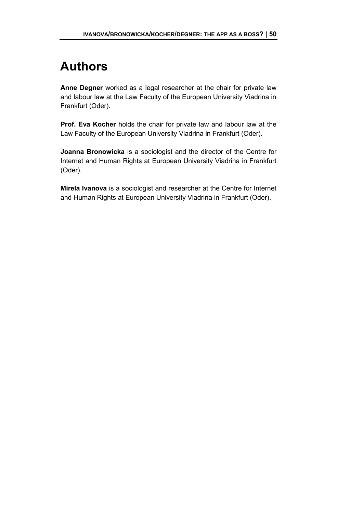# <span id="page-49-0"></span>**Authors**

**Anne Degner** worked as a legal researcher at the chair for private law and labour law at the Law Faculty of the European University Viadrina in Frankfurt (Oder).

**Prof. Eva Kocher** holds the chair for private law and labour law at the Law Faculty of the European University Viadrina in Frankfurt (Oder).

**Joanna Bronowicka** is a sociologist and the director of the Centre for Internet and Human Rights at European University Viadrina in Frankfurt (Oder).

**Mirela Ivanova** is a sociologist and researcher at the Centre for Internet and Human Rights at European University Viadrina in Frankfurt (Oder).